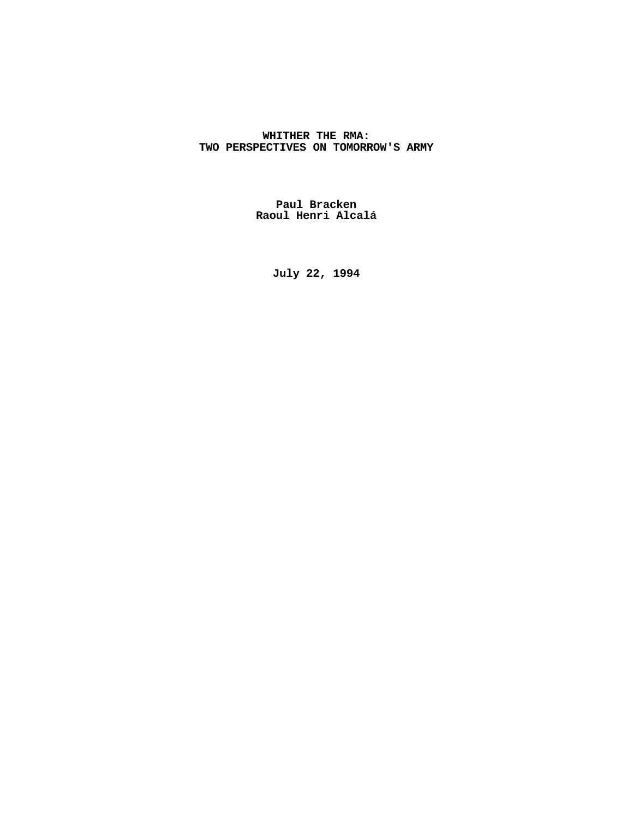# **WHITHER THE RMA: TWO PERSPECTIVES ON TOMORROW'S ARMY**

**Paul Bracken Raoul Henri Alcalá**

**July 22, 1994**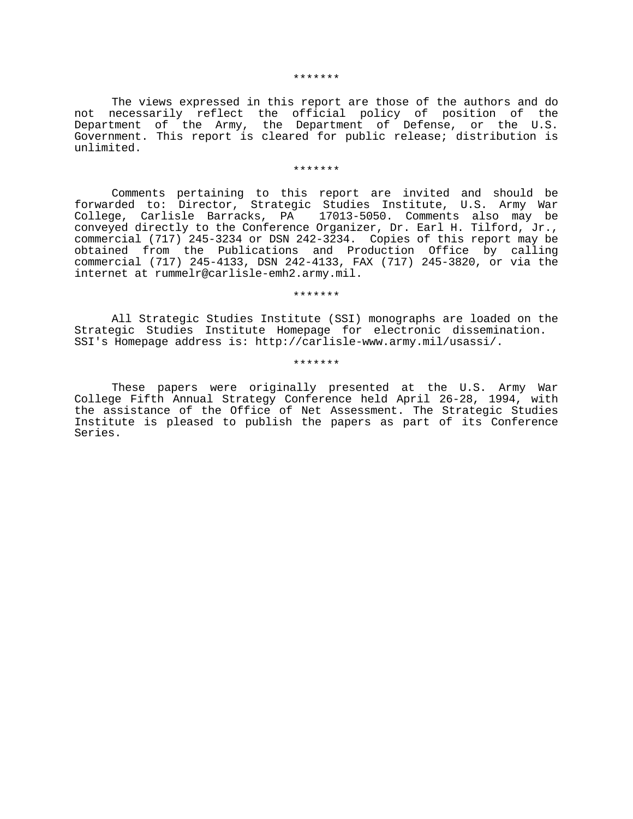#### \*\*\*\*\*\*\*

The views expressed in this report are those of the authors and do not necessarily reflect the official policy of position of the Department of the Army, the Department of Defense, or the U.S. Government. This report is cleared for public release; distribution is unlimited.

#### \*\*\*\*\*\*\*

Comments pertaining to this report are invited and should be forwarded to: Director, Strategic Studies Institute, U.S. Army War College, Carlisle Barracks, PA 17013-5050. Comments also may be conveyed directly to the Conference Organizer, Dr. Earl H. Tilford, Jr., commercial (717) 245-3234 or DSN 242-3234. Copies of this report may be obtained from the Publications and Production Office by calling commercial (717) 245-4133, DSN 242-4133, FAX (717) 245-3820, or via the internet at rummelr@carlisle-emh2.army.mil.

#### \*\*\*\*\*\*\*

All Strategic Studies Institute (SSI) monographs are loaded on the Strategic Studies Institute Homepage for electronic dissemination. SSI's Homepage address is: http://carlisle-www.army.mil/usassi/.

### \*\*\*\*\*\*\*

These papers were originally presented at the U.S. Army War College Fifth Annual Strategy Conference held April 26-28, 1994, with the assistance of the Office of Net Assessment. The Strategic Studies Institute is pleased to publish the papers as part of its Conference Series.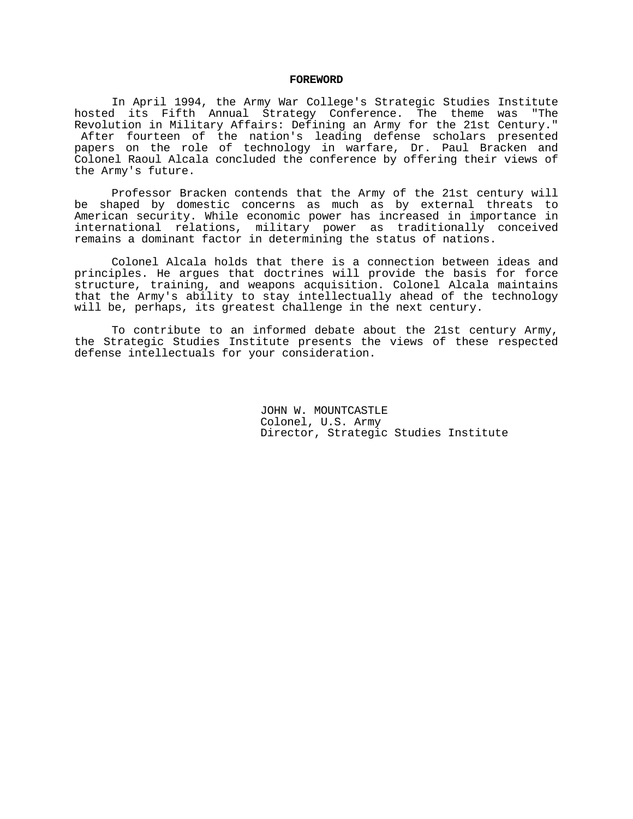### **FOREWORD**

In April 1994, the Army War College's Strategic Studies Institute hosted its Fifth Annual Strategy Conference. The theme was "The Revolution in Military Affairs: Defining an Army for the 21st Century." After fourteen of the nation's leading defense scholars presented papers on the role of technology in warfare, Dr. Paul Bracken and Colonel Raoul Alcala concluded the conference by offering their views of the Army's future.

Professor Bracken contends that the Army of the 21st century will be shaped by domestic concerns as much as by external threats to American security. While economic power has increased in importance in international relations, military power as traditionally conceived remains a dominant factor in determining the status of nations.

Colonel Alcala holds that there is a connection between ideas and principles. He argues that doctrines will provide the basis for force structure, training, and weapons acquisition. Colonel Alcala maintains that the Army's ability to stay intellectually ahead of the technology will be, perhaps, its greatest challenge in the next century.

To contribute to an informed debate about the 21st century Army, the Strategic Studies Institute presents the views of these respected defense intellectuals for your consideration.

> JOHN W. MOUNTCASTLE Colonel, U.S. Army Director, Strategic Studies Institute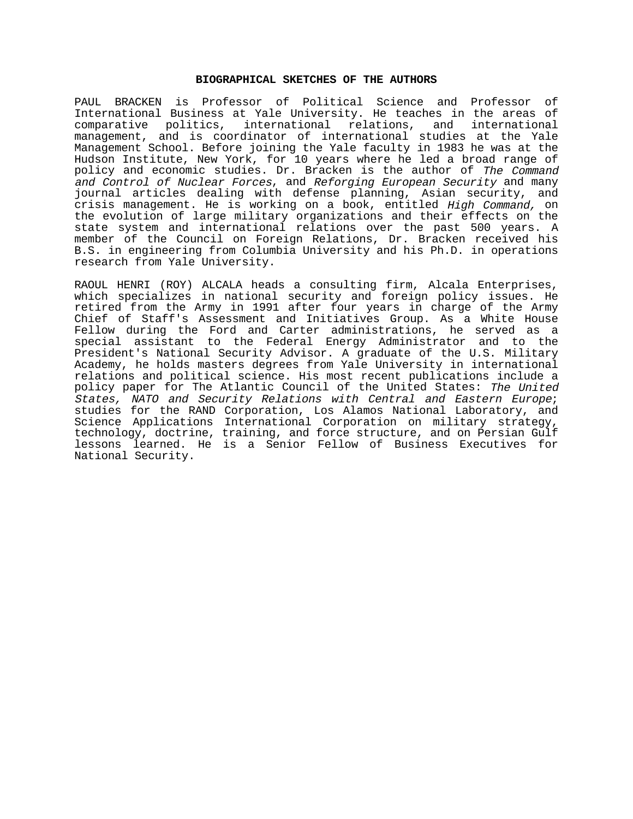## **BIOGRAPHICAL SKETCHES OF THE AUTHORS**

PAUL BRACKEN is Professor of Political Science and Professor of International Business at Yale University. He teaches in the areas of comparative politics, international relations, and international management, and is coordinator of international studies at the Yale Management School. Before joining the Yale faculty in 1983 he was at the Hudson Institute, New York, for 10 years where he led a broad range of policy and economic studies. Dr. Bracken is the author of The Command and Control of Nuclear Forces, and Reforging European Security and many journal articles dealing with defense planning, Asian security, and crisis management. He is working on a book, entitled High Command, on the evolution of large military organizations and their effects on the state system and international relations over the past 500 years. A member of the Council on Foreign Relations, Dr. Bracken received his B.S. in engineering from Columbia University and his Ph.D. in operations research from Yale University.

RAOUL HENRI (ROY) ALCALA heads a consulting firm, Alcala Enterprises, which specializes in national security and foreign policy issues. He retired from the Army in 1991 after four years in charge of the Army Chief of Staff's Assessment and Initiatives Group. As a White House Fellow during the Ford and Carter administrations, he served as a special assistant to the Federal Energy Administrator and to the President's National Security Advisor. A graduate of the U.S. Military Academy, he holds masters degrees from Yale University in international relations and political science. His most recent publications include a policy paper for The Atlantic Council of the United States: The United States, NATO and Security Relations with Central and Eastern Europe; studies for the RAND Corporation, Los Alamos National Laboratory, and Science Applications International Corporation on military strategy, technology, doctrine, training, and force structure, and on Persian Gulf lessons learned. He is a Senior Fellow of Business Executives for National Security.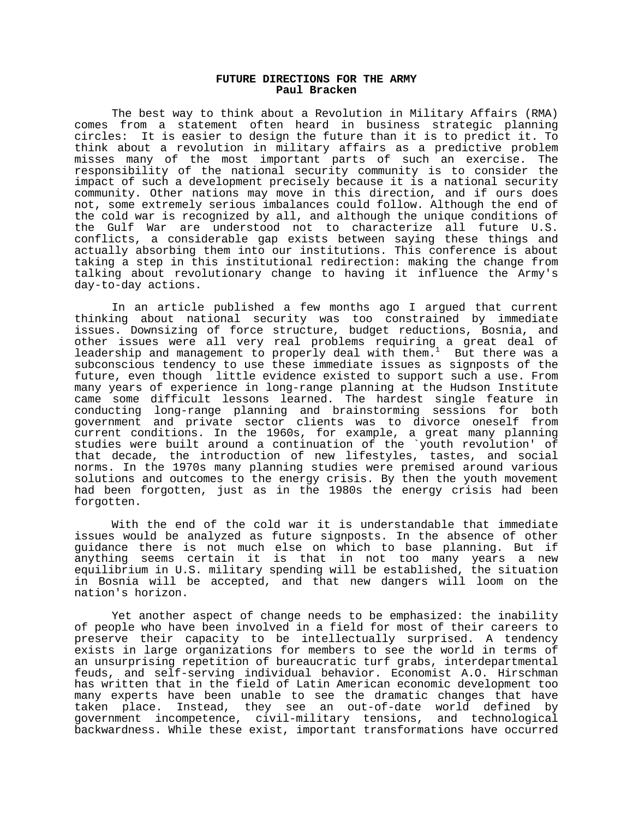### **FUTURE DIRECTIONS FOR THE ARMY Paul Bracken**

The best way to think about a Revolution in Military Affairs (RMA) comes from a statement often heard in business strategic planning circles: It is easier to design the future than it is to predict it. To think about a revolution in military affairs as a predictive problem misses many of the most important parts of such an exercise. The responsibility of the national security community is to consider the impact of such a development precisely because it is a national security community. Other nations may move in this direction, and if ours does not, some extremely serious imbalances could follow. Although the end of the cold war is recognized by all, and although the unique conditions of the Gulf War are understood not to characterize all future U.S. conflicts, a considerable gap exists between saying these things and actually absorbing them into our institutions. This conference is about taking a step in this institutional redirection: making the change from talking about revolutionary change to having it influence the Army's day-to-day actions.

In an article published a few months ago I argued that current thinking about national security was too constrained by immediate issues. Downsizing of force structure, budget reductions, Bosnia, and other issues were all very real problems requiring a great deal of leadership and management to properly deal with them.<sup>1</sup> But there was a subconscious tendency to use these immediate issues as signposts of the future, even though little evidence existed to support such a use. From many years of experience in long-range planning at the Hudson Institute came some difficult lessons learned. The hardest single feature in conducting long-range planning and brainstorming sessions for both government and private sector clients was to divorce oneself from current conditions. In the 1960s, for example, a great many planning studies were built around a continuation of the `youth revolution' of that decade, the introduction of new lifestyles, tastes, and social norms. In the 1970s many planning studies were premised around various solutions and outcomes to the energy crisis. By then the youth movement had been forgotten, just as in the 1980s the energy crisis had been forgotten.

With the end of the cold war it is understandable that immediate issues would be analyzed as future signposts. In the absence of other guidance there is not much else on which to base planning. But if anything seems certain it is that in not too many years a new equilibrium in U.S. military spending will be established, the situation in Bosnia will be accepted, and that new dangers will loom on the nation's horizon.

Yet another aspect of change needs to be emphasized: the inability of people who have been involved in a field for most of their careers to preserve their capacity to be intellectually surprised. A tendency exists in large organizations for members to see the world in terms of an unsurprising repetition of bureaucratic turf grabs, interdepartmental feuds, and self-serving individual behavior. Economist A.O. Hirschman has written that in the field of Latin American economic development too many experts have been unable to see the dramatic changes that have taken place. Instead, they see an out-of-date world defined by government incompetence, civil-military tensions, and technological backwardness. While these exist, important transformations have occurred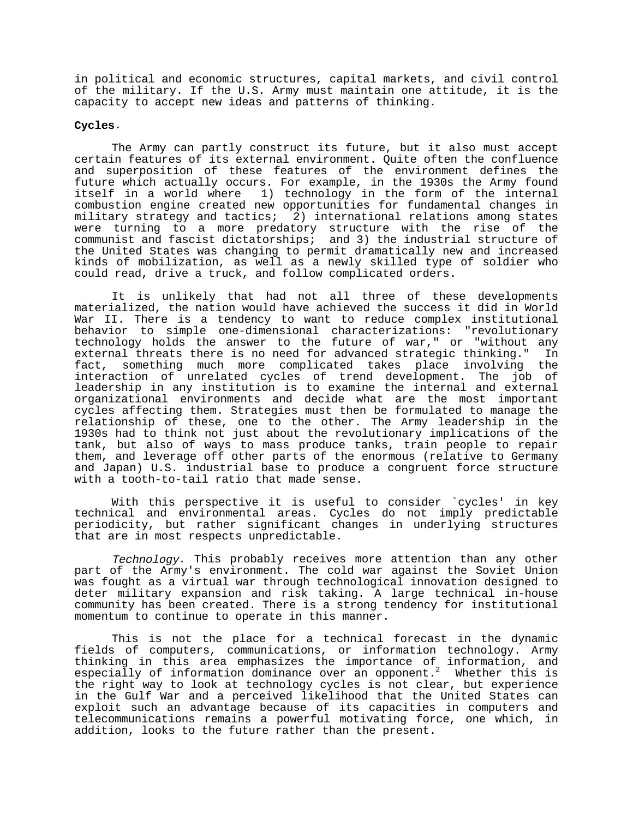in political and economic structures, capital markets, and civil control of the military. If the U.S. Army must maintain one attitude, it is the capacity to accept new ideas and patterns of thinking.

# **Cycles**.

The Army can partly construct its future, but it also must accept certain features of its external environment. Quite often the confluence and superposition of these features of the environment defines the future which actually occurs. For example, in the 1930s the Army found itself in a world where 1) technology in the form of the internal combustion engine created new opportunities for fundamental changes in military strategy and tactics; 2) international relations among states were turning to a more predatory structure with the rise of the communist and fascist dictatorships; and 3) the industrial structure of the United States was changing to permit dramatically new and increased kinds of mobilization, as well as a newly skilled type of soldier who could read, drive a truck, and follow complicated orders.

It is unlikely that had not all three of these developments materialized, the nation would have achieved the success it did in World War II. There is a tendency to want to reduce complex institutional behavior to simple one-dimensional characterizations: "revolutionary technology holds the answer to the future of war," or "without any external threats there is no need for advanced strategic thinking." In fact, something much more complicated takes place involving the interaction of unrelated cycles of trend development. The job of leadership in any institution is to examine the internal and external organizational environments and decide what are the most important cycles affecting them. Strategies must then be formulated to manage the relationship of these, one to the other. The Army leadership in the 1930s had to think not just about the revolutionary implications of the tank, but also of ways to mass produce tanks, train people to repair them, and leverage off other parts of the enormous (relative to Germany and Japan) U.S. industrial base to produce a congruent force structure with a tooth-to-tail ratio that made sense.

With this perspective it is useful to consider `cycles' in key technical and environmental areas. Cycles do not imply predictable periodicity, but rather significant changes in underlying structures that are in most respects unpredictable.

Technology. This probably receives more attention than any other part of the Army's environment. The cold war against the Soviet Union was fought as a virtual war through technological innovation designed to deter military expansion and risk taking. A large technical in-house community has been created. There is a strong tendency for institutional momentum to continue to operate in this manner.

This is not the place for a technical forecast in the dynamic fields of computers, communications, or information technology. Army thinking in this area emphasizes the importance of information, and especially of information dominance over an opponent.<sup>2</sup> Whether this is the right way to look at technology cycles is not clear, but experience in the Gulf War and a perceived likelihood that the United States can exploit such an advantage because of its capacities in computers and telecommunications remains a powerful motivating force, one which, in addition, looks to the future rather than the present.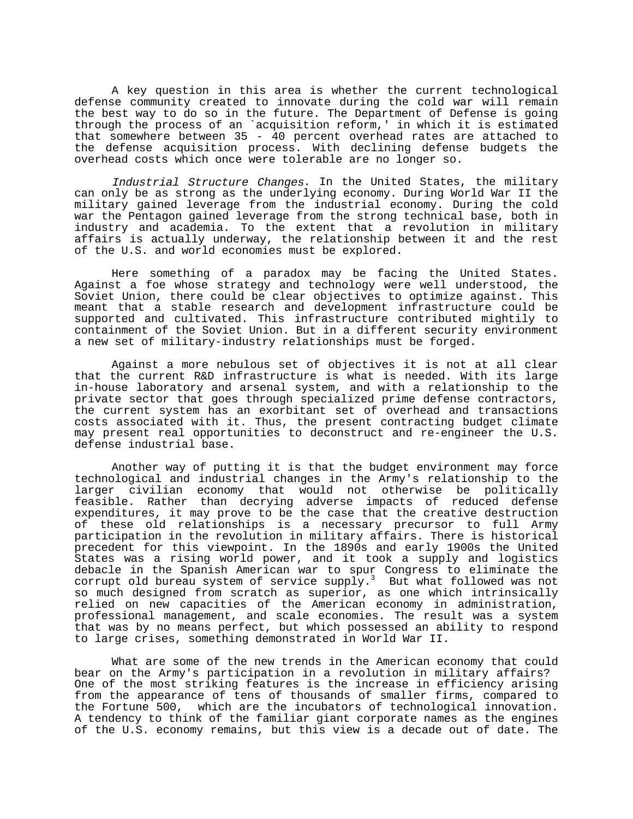A key question in this area is whether the current technological defense community created to innovate during the cold war will remain the best way to do so in the future. The Department of Defense is going through the process of an `acquisition reform,' in which it is estimated that somewhere between 35 - 40 percent overhead rates are attached to the defense acquisition process. With declining defense budgets the overhead costs which once were tolerable are no longer so.

Industrial Structure Changes. In the United States, the military can only be as strong as the underlying economy. During World War II the military gained leverage from the industrial economy. During the cold war the Pentagon gained leverage from the strong technical base, both in industry and academia. To the extent that a revolution in military affairs is actually underway, the relationship between it and the rest of the U.S. and world economies must be explored.

Here something of a paradox may be facing the United States. Against a foe whose strategy and technology were well understood, the Soviet Union, there could be clear objectives to optimize against. This meant that a stable research and development infrastructure could be supported and cultivated. This infrastructure contributed mightily to containment of the Soviet Union. But in a different security environment a new set of military-industry relationships must be forged.

Against a more nebulous set of objectives it is not at all clear that the current R&D infrastructure is what is needed. With its large in-house laboratory and arsenal system, and with a relationship to the private sector that goes through specialized prime defense contractors, the current system has an exorbitant set of overhead and transactions costs associated with it. Thus, the present contracting budget climate may present real opportunities to deconstruct and re-engineer the U.S. defense industrial base.

Another way of putting it is that the budget environment may force technological and industrial changes in the Army's relationship to the larger civilian economy that would not otherwise be politically feasible. Rather than decrying adverse impacts of reduced defense expenditures, it may prove to be the case that the creative destruction of these old relationships is a necessary precursor to full Army participation in the revolution in military affairs. There is historical precedent for this viewpoint. In the 1890s and early 1900s the United States was a rising world power, and it took a supply and logistics debacle in the Spanish American war to spur Congress to eliminate the corrupt old bureau system of service  ${\rm supp}\,{\rm ly.}^3$  But what followed was not so much designed from scratch as superior, as one which intrinsically relied on new capacities of the American economy in administration, professional management, and scale economies. The result was a system that was by no means perfect, but which possessed an ability to respond to large crises, something demonstrated in World War II.

What are some of the new trends in the American economy that could bear on the Army's participation in a revolution in military affairs? One of the most striking features is the increase in efficiency arising from the appearance of tens of thousands of smaller firms, compared to the Fortune 500, which are the incubators of technological innovation. A tendency to think of the familiar giant corporate names as the engines of the U.S. economy remains, but this view is a decade out of date. The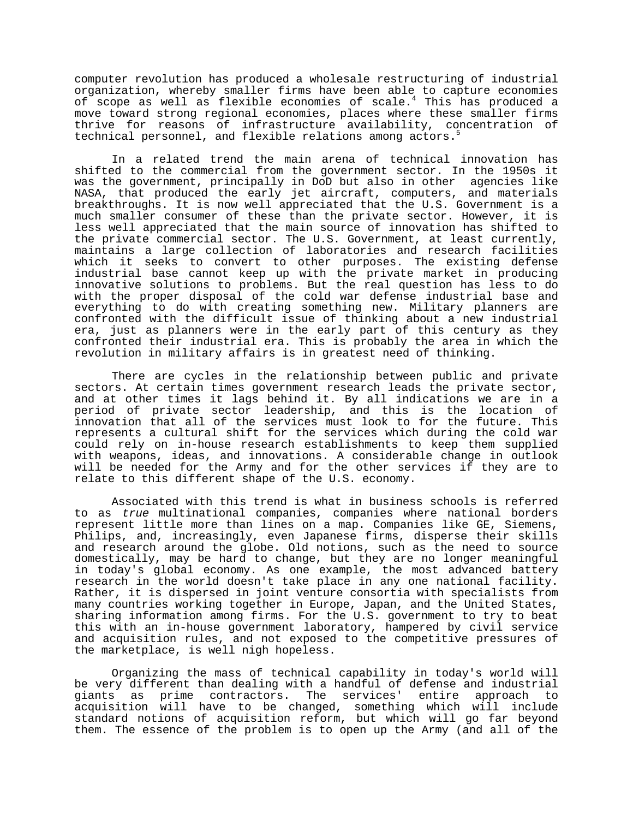computer revolution has produced a wholesale restructuring of industrial organization, whereby smaller firms have been able to capture economies of scope as well as flexible economies of scale.<sup>4</sup> This has produced a move toward strong regional economies, places where these smaller firms thrive for reasons of infrastructure availability, concentration of technical personnel, and flexible relations among actors.<sup>5</sup>

In a related trend the main arena of technical innovation has shifted to the commercial from the government sector. In the 1950s it was the government, principally in DoD but also in other agencies like NASA, that produced the early jet aircraft, computers, and materials breakthroughs. It is now well appreciated that the U.S. Government is a much smaller consumer of these than the private sector. However, it is less well appreciated that the main source of innovation has shifted to the private commercial sector. The U.S. Government, at least currently, maintains a large collection of laboratories and research facilities which it seeks to convert to other purposes. The existing defense industrial base cannot keep up with the private market in producing innovative solutions to problems. But the real question has less to do with the proper disposal of the cold war defense industrial base and everything to do with creating something new. Military planners are confronted with the difficult issue of thinking about a new industrial era, just as planners were in the early part of this century as they confronted their industrial era. This is probably the area in which the revolution in military affairs is in greatest need of thinking.

There are cycles in the relationship between public and private sectors. At certain times government research leads the private sector, and at other times it lags behind it. By all indications we are in a period of private sector leadership, and this is the location of innovation that all of the services must look to for the future. This represents a cultural shift for the services which during the cold war could rely on in-house research establishments to keep them supplied with weapons, ideas, and innovations. A considerable change in outlook will be needed for the Army and for the other services if they are to relate to this different shape of the U.S. economy.

Associated with this trend is what in business schools is referred to as true multinational companies, companies where national borders represent little more than lines on a map. Companies like GE, Siemens, Philips, and, increasingly, even Japanese firms, disperse their skills and research around the globe. Old notions, such as the need to source domestically, may be hard to change, but they are no longer meaningful in today's global economy. As one example, the most advanced battery research in the world doesn't take place in any one national facility. Rather, it is dispersed in joint venture consortia with specialists from many countries working together in Europe, Japan, and the United States, sharing information among firms. For the U.S. government to try to beat this with an in-house government laboratory, hampered by civil service and acquisition rules, and not exposed to the competitive pressures of the marketplace, is well nigh hopeless.

Organizing the mass of technical capability in today's world will be very different than dealing with a handful of defense and industrial giants as prime contractors. The services' entire approach to acquisition will have to be changed, something which will include standard notions of acquisition reform, but which will go far beyond them. The essence of the problem is to open up the Army (and all of the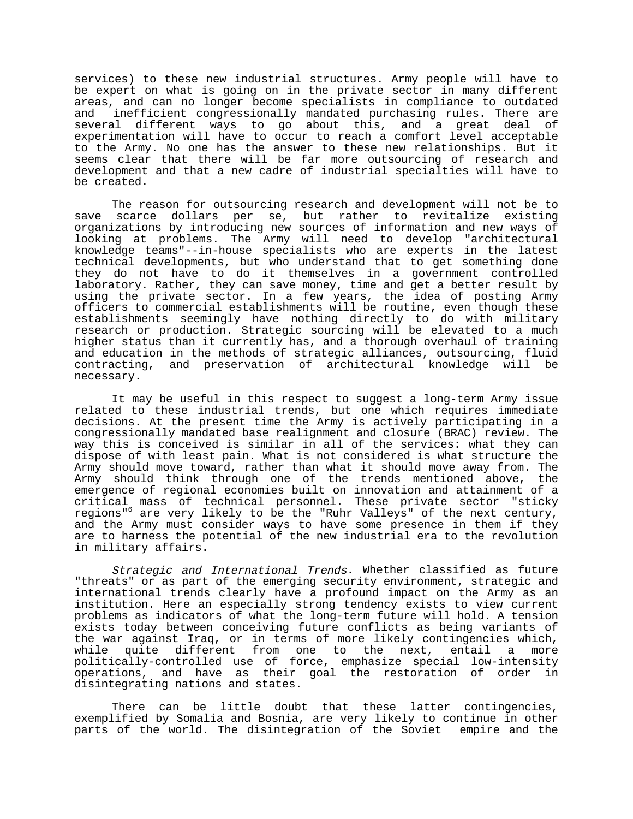services) to these new industrial structures. Army people will have to be expert on what is going on in the private sector in many different areas, and can no longer become specialists in compliance to outdated and inefficient congressionally mandated purchasing rules. There are several different ways to go about this, and a great deal of experimentation will have to occur to reach a comfort level acceptable to the Army. No one has the answer to these new relationships. But it seems clear that there will be far more outsourcing of research and development and that a new cadre of industrial specialties will have to be created.

The reason for outsourcing research and development will not be to save scarce dollars per se, but rather to revitalize existing organizations by introducing new sources of information and new ways of looking at problems. The Army will need to develop "architectural knowledge teams"--in-house specialists who are experts in the latest technical developments, but who understand that to get something done they do not have to do it themselves in a government controlled laboratory. Rather, they can save money, time and get a better result by using the private sector. In a few years, the idea of posting Army officers to commercial establishments will be routine, even though these establishments seemingly have nothing directly to do with military research or production. Strategic sourcing will be elevated to a much higher status than it currently has, and a thorough overhaul of training and education in the methods of strategic alliances, outsourcing, fluid contracting, and preservation of architectural knowledge will be necessary.

It may be useful in this respect to suggest a long-term Army issue related to these industrial trends, but one which requires immediate decisions. At the present time the Army is actively participating in a congressionally mandated base realignment and closure (BRAC) review. The way this is conceived is similar in all of the services: what they can dispose of with least pain. What is not considered is what structure the Army should move toward, rather than what it should move away from. The Army should think through one of the trends mentioned above, the emergence of regional economies built on innovation and attainment of a critical mass of technical personnel. These private sector "sticky regions"6 are very likely to be the "Ruhr Valleys" of the next century, and the Army must consider ways to have some presence in them if they are to harness the potential of the new industrial era to the revolution in military affairs.

Strategic and International Trends. Whether classified as future "threats" or as part of the emerging security environment, strategic and international trends clearly have a profound impact on the Army as an institution. Here an especially strong tendency exists to view current problems as indicators of what the long-term future will hold. A tension exists today between conceiving future conflicts as being variants of the war against Iraq, or in terms of more likely contingencies which, while quite different from one to the next, entail a more politically-controlled use of force, emphasize special low-intensity operations, and have as their goal the restoration of order in disintegrating nations and states.

There can be little doubt that these latter contingencies, exemplified by Somalia and Bosnia, are very likely to continue in other parts of the world. The disintegration of the Soviet empire and the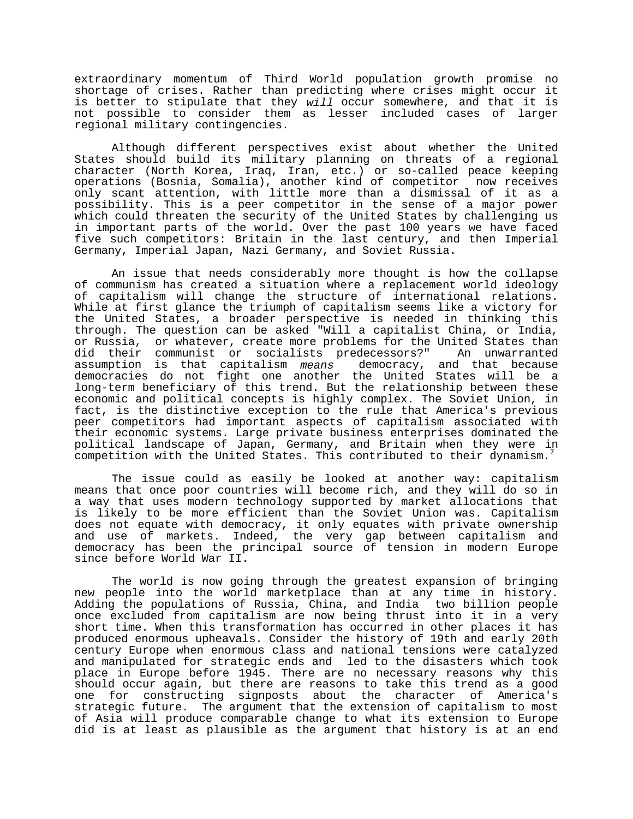extraordinary momentum of Third World population growth promise no shortage of crises. Rather than predicting where crises might occur it is better to stipulate that they will occur somewhere, and that it is not possible to consider them as lesser included cases of larger regional military contingencies.

Although different perspectives exist about whether the United States should build its military planning on threats of a regional character (North Korea, Iraq, Iran, etc.) or so-called peace keeping operations (Bosnia, Somalia), another kind of competitor now receives only scant attention, with little more than a dismissal of it as a possibility. This is a peer competitor in the sense of a major power which could threaten the security of the United States by challenging us in important parts of the world. Over the past 100 years we have faced five such competitors: Britain in the last century, and then Imperial Germany, Imperial Japan, Nazi Germany, and Soviet Russia.

An issue that needs considerably more thought is how the collapse of communism has created a situation where a replacement world ideology of capitalism will change the structure of international relations. While at first glance the triumph of capitalism seems like a victory for the United States, a broader perspective is needed in thinking this through. The question can be asked "Will a capitalist China, or India, or Russia, or whatever, create more problems for the United States than did their communist or socialists predecessors?" An unwarranted assumption is that capitalism me*ans* democracy, and that because democracies do not fight one another the United States will be a long-term beneficiary of this trend. But the relationship between these economic and political concepts is highly complex. The Soviet Union, in fact, is the distinctive exception to the rule that America's previous peer competitors had important aspects of capitalism associated with their economic systems. Large private business enterprises dominated the political landscape of Japan, Germany, and Britain when they were in competition with the United States. This contributed to their dynamism.

The issue could as easily be looked at another way: capitalism means that once poor countries will become rich, and they will do so in a way that uses modern technology supported by market allocations that is likely to be more efficient than the Soviet Union was. Capitalism does not equate with democracy, it only equates with private ownership and use of markets. Indeed, the very gap between capitalism and democracy has been the principal source of tension in modern Europe since before World War II.

The world is now going through the greatest expansion of bringing new people into the world marketplace than at any time in history. Adding the populations of Russia, China, and India two billion people once excluded from capitalism are now being thrust into it in a very short time. When this transformation has occurred in other places it has produced enormous upheavals. Consider the history of 19th and early 20th century Europe when enormous class and national tensions were catalyzed and manipulated for strategic ends and led to the disasters which took place in Europe before 1945. There are no necessary reasons why this should occur again, but there are reasons to take this trend as a good one for constructing signposts about the character of America's strategic future. The argument that the extension of capitalism to most of Asia will produce comparable change to what its extension to Europe did is at least as plausible as the argument that history is at an end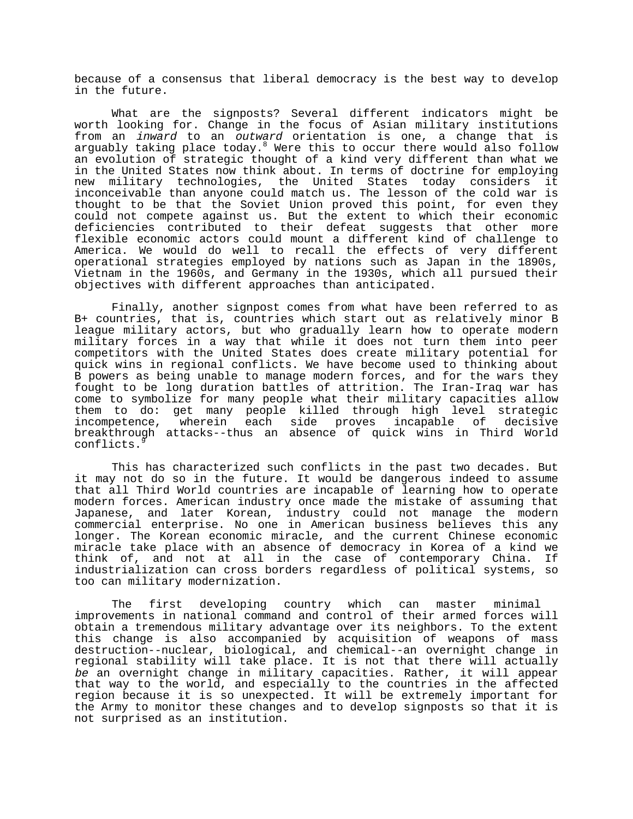because of a consensus that liberal democracy is the best way to develop in the future.

What are the signposts? Several different indicators might be worth looking for. Change in the focus of Asian military institutions from an *inward* to an outward orientation is one, a change that is arguably taking place today.<sup>8</sup> Were this to occur there would also follow an evolution of strategic thought of a kind very different than what we in the United States now think about. In terms of doctrine for employing new military technologies, the United States today considers it inconceivable than anyone could match us. The lesson of the cold war is thought to be that the Soviet Union proved this point, for even they could not compete against us. But the extent to which their economic deficiencies contributed to their defeat suggests that other more flexible economic actors could mount a different kind of challenge to America. We would do well to recall the effects of very different operational strategies employed by nations such as Japan in the 1890s, Vietnam in the 1960s, and Germany in the 1930s, which all pursued their objectives with different approaches than anticipated.

Finally, another signpost comes from what have been referred to as B+ countries, that is, countries which start out as relatively minor B league military actors, but who gradually learn how to operate modern military forces in a way that while it does not turn them into peer competitors with the United States does create military potential for quick wins in regional conflicts. We have become used to thinking about B powers as being unable to manage modern forces, and for the wars they fought to be long duration battles of attrition. The Iran-Iraq war has come to symbolize for many people what their military capacities allow them to do: get many people killed through high level strategic incompetence, wherein each side proves incapable of decisive breakthrough attacks--thus an absence of quick wins in Third World conflicts.

This has characterized such conflicts in the past two decades. But it may not do so in the future. It would be dangerous indeed to assume that all Third World countries are incapable of learning how to operate modern forces. American industry once made the mistake of assuming that Japanese, and later Korean, industry could not manage the modern commercial enterprise. No one in American business believes this any longer. The Korean economic miracle, and the current Chinese economic miracle take place with an absence of democracy in Korea of a kind we think of, and not at all in the case of contemporary China. If industrialization can cross borders regardless of political systems, so too can military modernization.

The first developing country which can master minimal improvements in national command and control of their armed forces will obtain a tremendous military advantage over its neighbors. To the extent this change is also accompanied by acquisition of weapons of mass destruction--nuclear, biological, and chemical--an overnight change in regional stability will take place. It is not that there will actually be an overnight change in military capacities. Rather, it will appear that way to the world, and especially to the countries in the affected region because it is so unexpected. It will be extremely important for the Army to monitor these changes and to develop signposts so that it is not surprised as an institution.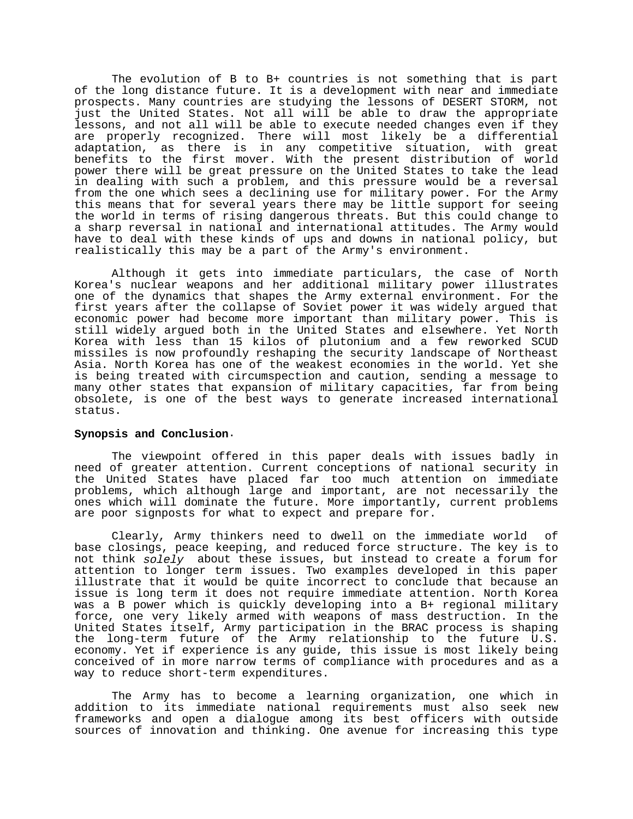The evolution of B to B+ countries is not something that is part of the long distance future. It is a development with near and immediate prospects. Many countries are studying the lessons of DESERT STORM, not just the United States. Not all will be able to draw the appropriate lessons, and not all will be able to execute needed changes even if they are properly recognized. There will most likely be a differential adaptation, as there is in any competitive situation, with great benefits to the first mover. With the present distribution of world power there will be great pressure on the United States to take the lead in dealing with such a problem, and this pressure would be a reversal from the one which sees a declining use for military power. For the Army this means that for several years there may be little support for seeing the world in terms of rising dangerous threats. But this could change to a sharp reversal in national and international attitudes. The Army would have to deal with these kinds of ups and downs in national policy, but realistically this may be a part of the Army's environment.

Although it gets into immediate particulars, the case of North Korea's nuclear weapons and her additional military power illustrates one of the dynamics that shapes the Army external environment. For the first years after the collapse of Soviet power it was widely argued that economic power had become more important than military power. This is still widely argued both in the United States and elsewhere. Yet North Korea with less than 15 kilos of plutonium and a few reworked SCUD missiles is now profoundly reshaping the security landscape of Northeast Asia. North Korea has one of the weakest economies in the world. Yet she is being treated with circumspection and caution, sending a message to many other states that expansion of military capacities, far from being obsolete, is one of the best ways to generate increased international status.

### **Synopsis and Conclusion**.

The viewpoint offered in this paper deals with issues badly in need of greater attention. Current conceptions of national security in the United States have placed far too much attention on immediate problems, which although large and important, are not necessarily the ones which will dominate the future. More importantly, current problems are poor signposts for what to expect and prepare for.

Clearly, Army thinkers need to dwell on the immediate world of base closings, peace keeping, and reduced force structure. The key is to not think solely about these issues, but instead to create a forum for attention to longer term issues. Two examples developed in this paper illustrate that it would be quite incorrect to conclude that because an issue is long term it does not require immediate attention. North Korea was a B power which is quickly developing into a B+ regional military force, one very likely armed with weapons of mass destruction. In the United States itself, Army participation in the BRAC process is shaping the long-term future of the Army relationship to the future U.S. economy. Yet if experience is any guide, this issue is most likely being conceived of in more narrow terms of compliance with procedures and as a way to reduce short-term expenditures.

The Army has to become a learning organization, one which in addition to its immediate national requirements must also seek new frameworks and open a dialogue among its best officers with outside sources of innovation and thinking. One avenue for increasing this type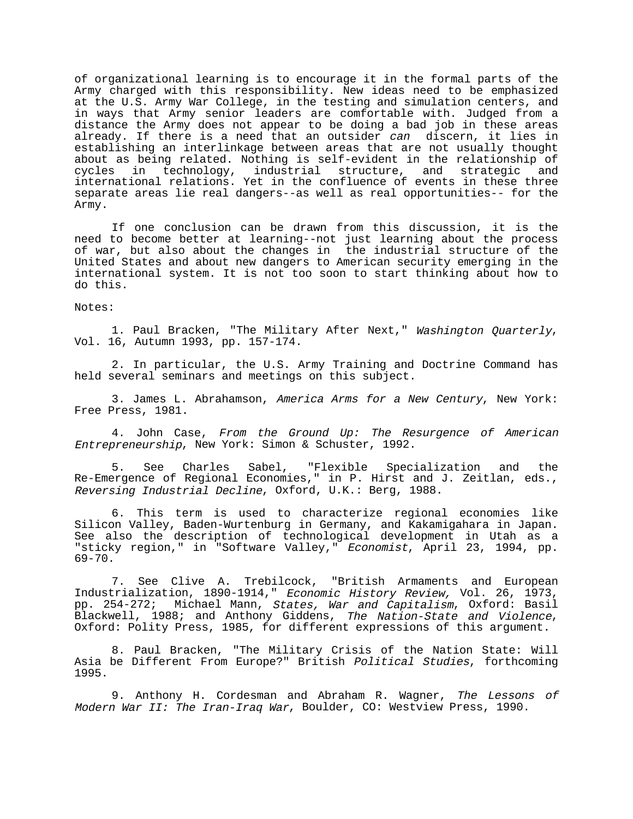of organizational learning is to encourage it in the formal parts of the Army charged with this responsibility. New ideas need to be emphasized at the U.S. Army War College, in the testing and simulation centers, and in ways that Army senior leaders are comfortable with. Judged from a distance the Army does not appear to be doing a bad job in these areas already. If there is a need that an outsider *can* discern, it lies in establishing an interlinkage between areas that are not usually thought about as being related. Nothing is self-evident in the relationship of cycles in technology, industrial structure, and strategic and international relations. Yet in the confluence of events in these three separate areas lie real dangers--as well as real opportunities-- for the Army.

If one conclusion can be drawn from this discussion, it is the need to become better at learning--not just learning about the process of war, but also about the changes in the industrial structure of the United States and about new dangers to American security emerging in the international system. It is not too soon to start thinking about how to do this.

Notes:

1. Paul Bracken, "The Military After Next," Washington Quarterly, Vol. 16, Autumn 1993, pp. 157-174.

2. In particular, the U.S. Army Training and Doctrine Command has held several seminars and meetings on this subject.

3. James L. Abrahamson, America Arms for a New Century, New York: Free Press, 1981.

4. John Case, From the Ground Up: The Resurgence of American Entrepreneurship, New York: Simon & Schuster, 1992.

5. See Charles Sabel, "Flexible Specialization and the Re-Emergence of Regional Economies," in P. Hirst and J. Zeitlan, eds., Reversing Industrial Decline, Oxford, U.K.: Berg, 1988.

6. This term is used to characterize regional economies like Silicon Valley, Baden-Wurtenburg in Germany, and Kakamigahara in Japan. See also the description of technological development in Utah as a "sticky region," in "Software Valley," Economist, April 23, 1994, pp. 69-70.

7. See Clive A. Trebilcock, "British Armaments and European Industrialization, 1890-1914," Economic History Review, Vol. 26, 1973, pp. 254-272; Michael Mann, States, War and Capitalism, Oxford: Basil Blackwell, 1988; and Anthony Giddens, The Nation-State and Violence, Oxford: Polity Press, 1985, for different expressions of this argument.

8. Paul Bracken, "The Military Crisis of the Nation State: Will Asia be Different From Europe?" British Political Studies, forthcoming 1995.

9. Anthony H. Cordesman and Abraham R. Wagner, The Lessons of Modern War II: The Iran-Iraq War, Boulder, CO: Westview Press, 1990.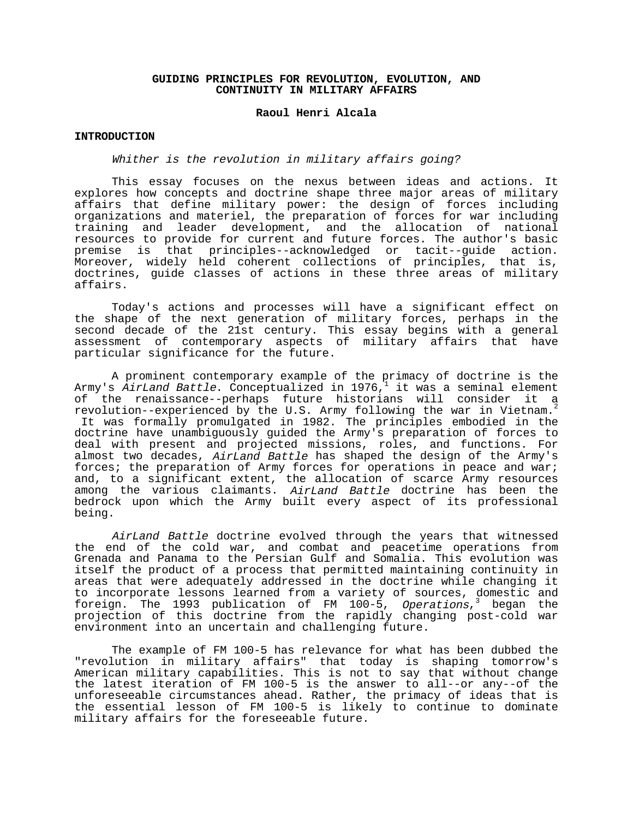# **GUIDING PRINCIPLES FOR REVOLUTION, EVOLUTION, AND CONTINUITY IN MILITARY AFFAIRS**

#### **Raoul Henri Alcala**

### **INTRODUCTION**

# Whither is the revolution in military affairs going?

This essay focuses on the nexus between ideas and actions. It explores how concepts and doctrine shape three major areas of military affairs that define military power: the design of forces including organizations and materiel, the preparation of forces for war including training and leader development, and the allocation of national resources to provide for current and future forces. The author's basic premise is that principles--acknowledged or tacit--guide action. Moreover, widely held coherent collections of principles, that is, doctrines, guide classes of actions in these three areas of military affairs.

Today's actions and processes will have a significant effect on the shape of the next generation of military forces, perhaps in the second decade of the 21st century. This essay begins with a general assessment of contemporary aspects of military affairs that have particular significance for the future.

A prominent contemporary example of the primacy of doctrine is the Army's AirLand Battle. Conceptualized in 1976, it was a seminal element of the renaissance--perhaps future historians will consider it a revolution--experienced by the U.S. Army following the war in Vietnam.<sup>2</sup> It was formally promulgated in 1982. The principles embodied in the doctrine have unambiguously guided the Army's preparation of forces to deal with present and projected missions, roles, and functions. For almost two decades, AirLand Battle has shaped the design of the Army's forces; the preparation of Army forces for operations in peace and war; and, to a significant extent, the allocation of scarce Army resources among the various claimants. AirLand Battle doctrine has been the bedrock upon which the Army built every aspect of its professional being.

AirLand Battle doctrine evolved through the years that witnessed the end of the cold war, and combat and peacetime operations from Grenada and Panama to the Persian Gulf and Somalia. This evolution was itself the product of a process that permitted maintaining continuity in areas that were adequately addressed in the doctrine while changing it to incorporate lessons learned from a variety of sources, domestic and foreign. The 1993 publication of FM 100-5, Operations,<sup>3</sup> began the projection of this doctrine from the rapidly changing post-cold war environment into an uncertain and challenging future.

The example of FM 100-5 has relevance for what has been dubbed the "revolution in military affairs" that today is shaping tomorrow's American military capabilities. This is not to say that without change the latest iteration of FM 100-5 is the answer to all--or any--of the unforeseeable circumstances ahead. Rather, the primacy of ideas that is the essential lesson of FM 100-5 is likely to continue to dominate military affairs for the foreseeable future.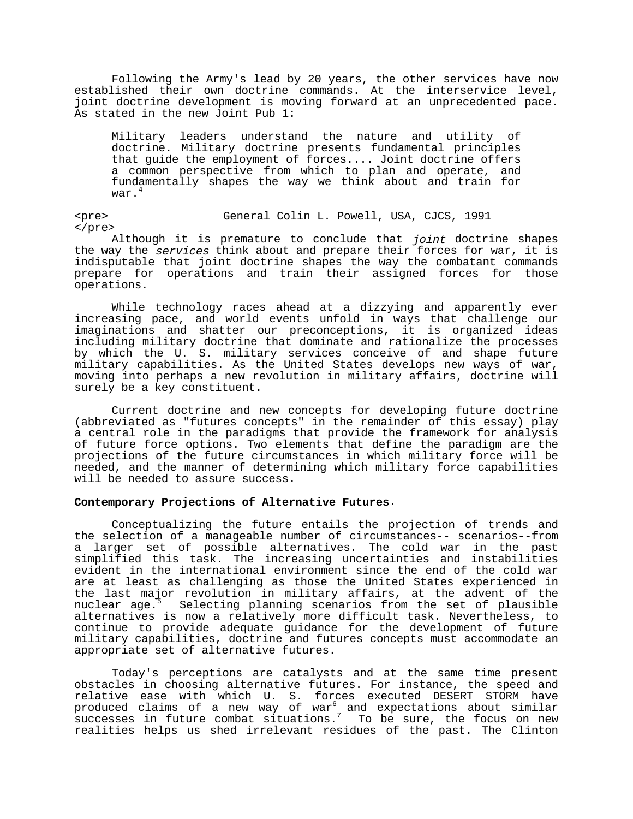Following the Army's lead by 20 years, the other services have now established their own doctrine commands. At the interservice level, joint doctrine development is moving forward at an unprecedented pace. As stated in the new Joint Pub 1:

Military leaders understand the nature and utility of doctrine. Military doctrine presents fundamental principles that guide the employment of forces.... Joint doctrine offers a common perspective from which to plan and operate, and fundamentally shapes the way we think about and train for war.<sup>4</sup>

<pre> General Colin L. Powell, USA, CJCS, 1991 </pre>

Although it is premature to conclude that joint doctrine shapes the way the services think about and prepare their forces for war, it is indisputable that joint doctrine shapes the way the combatant commands prepare for operations and train their assigned forces for those operations.

While technology races ahead at a dizzying and apparently ever increasing pace, and world events unfold in ways that challenge our imaginations and shatter our preconceptions, it is organized ideas including military doctrine that dominate and rationalize the processes by which the U. S. military services conceive of and shape future military capabilities. As the United States develops new ways of war, moving into perhaps a new revolution in military affairs, doctrine will surely be a key constituent.

Current doctrine and new concepts for developing future doctrine (abbreviated as "futures concepts" in the remainder of this essay) play a central role in the paradigms that provide the framework for analysis of future force options. Two elements that define the paradigm are the projections of the future circumstances in which military force will be needed, and the manner of determining which military force capabilities will be needed to assure success.

### **Contemporary Projections of Alternative Futures**.

Conceptualizing the future entails the projection of trends and the selection of a manageable number of circumstances-- scenarios--from a larger set of possible alternatives. The cold war in the past simplified this task. The increasing uncertainties and instabilities evident in the international environment since the end of the cold war are at least as challenging as those the United States experienced in the last major revolution in military affairs, at the advent of the nuclear age.<sup>5</sup> Selecting planning scenarios from the set of plausible alternatives is now a relatively more difficult task. Nevertheless, to continue to provide adequate guidance for the development of future military capabilities, doctrine and futures concepts must accommodate an appropriate set of alternative futures.

Today's perceptions are catalysts and at the same time present obstacles in choosing alternative futures. For instance, the speed and relative ease with which U. S. forces executed DESERT STORM have produced claims of a new way of war<sup>6</sup> and expectations about similar -<br>successes in future combat situations.<sup>7</sup> To be sure, the focus on new realities helps us shed irrelevant residues of the past. The Clinton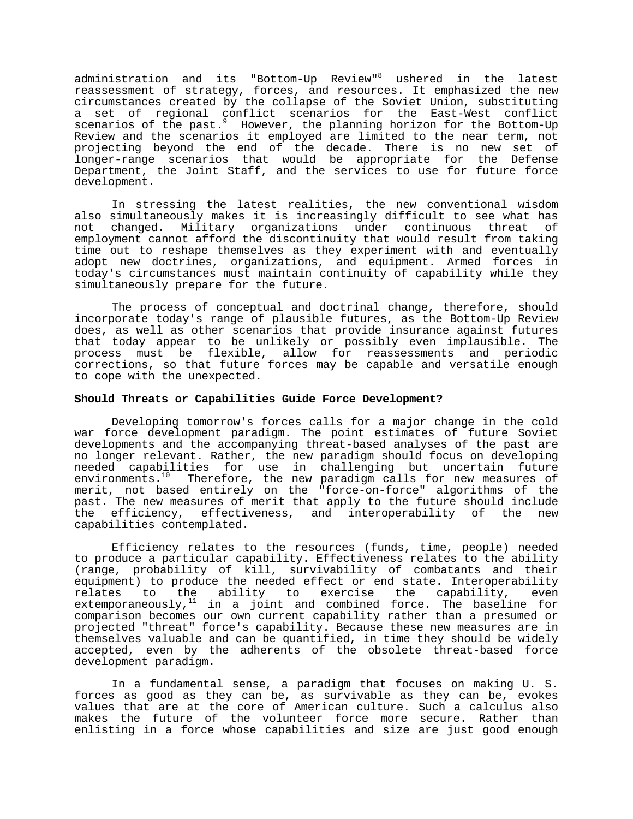administration and its "Bottom-Up Review"<sup>8</sup> ushered in the latest reassessment of strategy, forces, and resources. It emphasized the new circumstances created by the collapse of the Soviet Union, substituting a set of regional conflict scenarios for the East-West conflict scenarios of the past.<sup>9</sup> However, the planning horizon for the Bottom-Up Review and the scenarios it employed are limited to the near term, not projecting beyond the end of the decade. There is no new set of longer-range scenarios that would be appropriate for the Defense Department, the Joint Staff, and the services to use for future force development.

In stressing the latest realities, the new conventional wisdom also simultaneously makes it is increasingly difficult to see what has not changed. Military organizations under continuous threat of employment cannot afford the discontinuity that would result from taking time out to reshape themselves as they experiment with and eventually adopt new doctrines, organizations, and equipment. Armed forces in today's circumstances must maintain continuity of capability while they simultaneously prepare for the future.

The process of conceptual and doctrinal change, therefore, should incorporate today's range of plausible futures, as the Bottom-Up Review does, as well as other scenarios that provide insurance against futures that today appear to be unlikely or possibly even implausible. The process must be flexible, allow for reassessments and periodic corrections, so that future forces may be capable and versatile enough to cope with the unexpected.

# **Should Threats or Capabilities Guide Force Development?**

Developing tomorrow's forces calls for a major change in the cold war force development paradigm. The point estimates of future Soviet developments and the accompanying threat-based analyses of the past are no longer relevant. Rather, the new paradigm should focus on developing needed capabilities for use in challenging but uncertain future environments.<sup>10</sup> Therefore, the new paradigm calls for new measures of merit, not based entirely on the "force-on-force" algorithms of the past. The new measures of merit that apply to the future should include the efficiency, effectiveness, and interoperability of the new capabilities contemplated.

Efficiency relates to the resources (funds, time, people) needed to produce a particular capability. Effectiveness relates to the ability (range, probability of kill, survivability of combatants and their equipment) to produce the needed effect or end state. Interoperability relates to the ability to exercise the capability, even extemporaneously, $11$  in a joint and combined force. The baseline for comparison becomes our own current capability rather than a presumed or projected "threat" force's capability. Because these new measures are in themselves valuable and can be quantified, in time they should be widely accepted, even by the adherents of the obsolete threat-based force development paradigm.

In a fundamental sense, a paradigm that focuses on making U. S. forces as good as they can be, as survivable as they can be, evokes values that are at the core of American culture. Such a calculus also makes the future of the volunteer force more secure. Rather than enlisting in a force whose capabilities and size are just good enough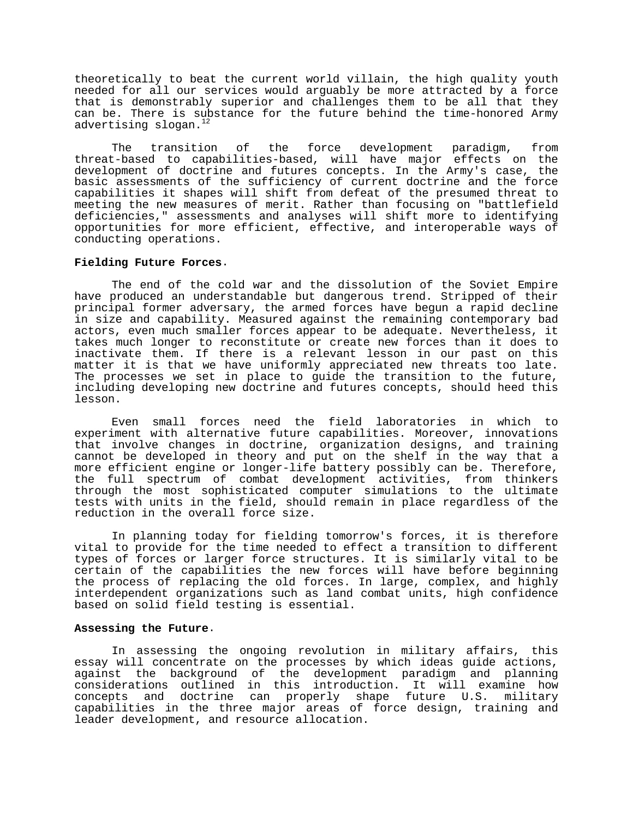theoretically to beat the current world villain, the high quality youth needed for all our services would arguably be more attracted by a force that is demonstrably superior and challenges them to be all that they can be. There is substance for the future behind the time-honored Army advertising slogan.<sup>12</sup>

The transition of the force development paradigm, from threat-based to capabilities-based, will have major effects on the development of doctrine and futures concepts. In the Army's case, the basic assessments of the sufficiency of current doctrine and the force capabilities it shapes will shift from defeat of the presumed threat to meeting the new measures of merit. Rather than focusing on "battlefield deficiencies," assessments and analyses will shift more to identifying opportunities for more efficient, effective, and interoperable ways of conducting operations.

### **Fielding Future Forces**.

The end of the cold war and the dissolution of the Soviet Empire have produced an understandable but dangerous trend. Stripped of their principal former adversary, the armed forces have begun a rapid decline in size and capability. Measured against the remaining contemporary bad actors, even much smaller forces appear to be adequate. Nevertheless, it takes much longer to reconstitute or create new forces than it does to inactivate them. If there is a relevant lesson in our past on this matter it is that we have uniformly appreciated new threats too late. The processes we set in place to guide the transition to the future, including developing new doctrine and futures concepts, should heed this lesson.

Even small forces need the field laboratories in which to experiment with alternative future capabilities. Moreover, innovations that involve changes in doctrine, organization designs, and training cannot be developed in theory and put on the shelf in the way that a more efficient engine or longer-life battery possibly can be. Therefore, the full spectrum of combat development activities, from thinkers through the most sophisticated computer simulations to the ultimate tests with units in the field, should remain in place regardless of the reduction in the overall force size.

In planning today for fielding tomorrow's forces, it is therefore vital to provide for the time needed to effect a transition to different types of forces or larger force structures. It is similarly vital to be certain of the capabilities the new forces will have before beginning the process of replacing the old forces. In large, complex, and highly interdependent organizations such as land combat units, high confidence based on solid field testing is essential.

### **Assessing the Future**.

In assessing the ongoing revolution in military affairs, this essay will concentrate on the processes by which ideas guide actions, against the background of the development paradigm and planning considerations outlined in this introduction. It will examine how concepts and doctrine can properly shape future U.S. military capabilities in the three major areas of force design, training and leader development, and resource allocation.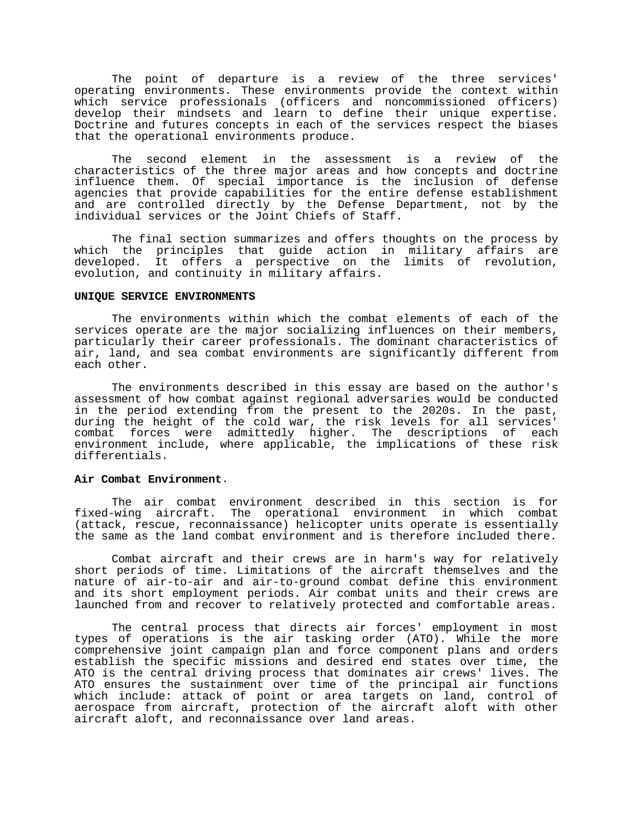The point of departure is a review of the three services' operating environments. These environments provide the context within which service professionals (officers and noncommissioned officers) develop their mindsets and learn to define their unique expertise. Doctrine and futures concepts in each of the services respect the biases that the operational environments produce.

The second element in the assessment is a review of the characteristics of the three major areas and how concepts and doctrine influence them. Of special importance is the inclusion of defense agencies that provide capabilities for the entire defense establishment and are controlled directly by the Defense Department, not by the individual services or the Joint Chiefs of Staff.

The final section summarizes and offers thoughts on the process by which the principles that guide action in military affairs are developed. It offers a perspective on the limits of revolution, evolution, and continuity in military affairs.

# **UNIQUE SERVICE ENVIRONMENTS**

The environments within which the combat elements of each of the services operate are the major socializing influences on their members, particularly their career professionals. The dominant characteristics of air, land, and sea combat environments are significantly different from each other.

The environments described in this essay are based on the author's assessment of how combat against regional adversaries would be conducted in the period extending from the present to the 2020s. In the past, during the height of the cold war, the risk levels for all services' combat forces were admittedly higher. The descriptions of each environment include, where applicable, the implications of these risk differentials.

### **Air Combat Environment**.

The air combat environment described in this section is for fixed-wing aircraft. The operational environment in which combat (attack, rescue, reconnaissance) helicopter units operate is essentially the same as the land combat environment and is therefore included there.

Combat aircraft and their crews are in harm's way for relatively short periods of time. Limitations of the aircraft themselves and the nature of air-to-air and air-to-ground combat define this environment and its short employment periods. Air combat units and their crews are launched from and recover to relatively protected and comfortable areas.

The central process that directs air forces' employment in most types of operations is the air tasking order (ATO). While the more comprehensive joint campaign plan and force component plans and orders establish the specific missions and desired end states over time, the ATO is the central driving process that dominates air crews' lives. The ATO ensures the sustainment over time of the principal air functions which include: attack of point or area targets on land, control of aerospace from aircraft, protection of the aircraft aloft with other aircraft aloft, and reconnaissance over land areas.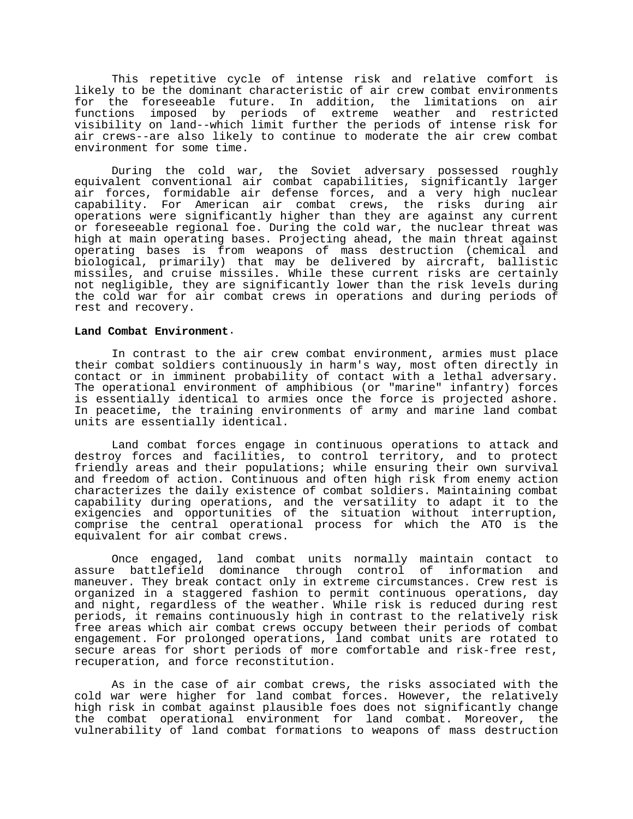This repetitive cycle of intense risk and relative comfort is likely to be the dominant characteristic of air crew combat environments for the foreseeable future. In addition, the limitations on air functions imposed by periods of extreme weather and restricted visibility on land--which limit further the periods of intense risk for air crews--are also likely to continue to moderate the air crew combat environment for some time.

During the cold war, the Soviet adversary possessed roughly equivalent conventional air combat capabilities, significantly larger air forces, formidable air defense forces, and a very high nuclear capability. For American air combat crews, the risks during air operations were significantly higher than they are against any current or foreseeable regional foe. During the cold war, the nuclear threat was high at main operating bases. Projecting ahead, the main threat against operating bases is from weapons of mass destruction (chemical and biological, primarily) that may be delivered by aircraft, ballistic missiles, and cruise missiles. While these current risks are certainly not negligible, they are significantly lower than the risk levels during the cold war for air combat crews in operations and during periods of rest and recovery.

### **Land Combat Environment**.

In contrast to the air crew combat environment, armies must place their combat soldiers continuously in harm's way, most often directly in contact or in imminent probability of contact with a lethal adversary. The operational environment of amphibious (or "marine" infantry) forces is essentially identical to armies once the force is projected ashore. In peacetime, the training environments of army and marine land combat units are essentially identical.

Land combat forces engage in continuous operations to attack and destroy forces and facilities, to control territory, and to protect friendly areas and their populations; while ensuring their own survival and freedom of action. Continuous and often high risk from enemy action characterizes the daily existence of combat soldiers. Maintaining combat capability during operations, and the versatility to adapt it to the exigencies and opportunities of the situation without interruption, comprise the central operational process for which the ATO is the equivalent for air combat crews.

Once engaged, land combat units normally maintain contact to assure battlefield dominance through control of information and maneuver. They break contact only in extreme circumstances. Crew rest is organized in a staggered fashion to permit continuous operations, day and night, regardless of the weather. While risk is reduced during rest periods, it remains continuously high in contrast to the relatively risk free areas which air combat crews occupy between their periods of combat engagement. For prolonged operations, land combat units are rotated to secure areas for short periods of more comfortable and risk-free rest, recuperation, and force reconstitution.

As in the case of air combat crews, the risks associated with the cold war were higher for land combat forces. However, the relatively high risk in combat against plausible foes does not significantly change the combat operational environment for land combat. Moreover, the vulnerability of land combat formations to weapons of mass destruction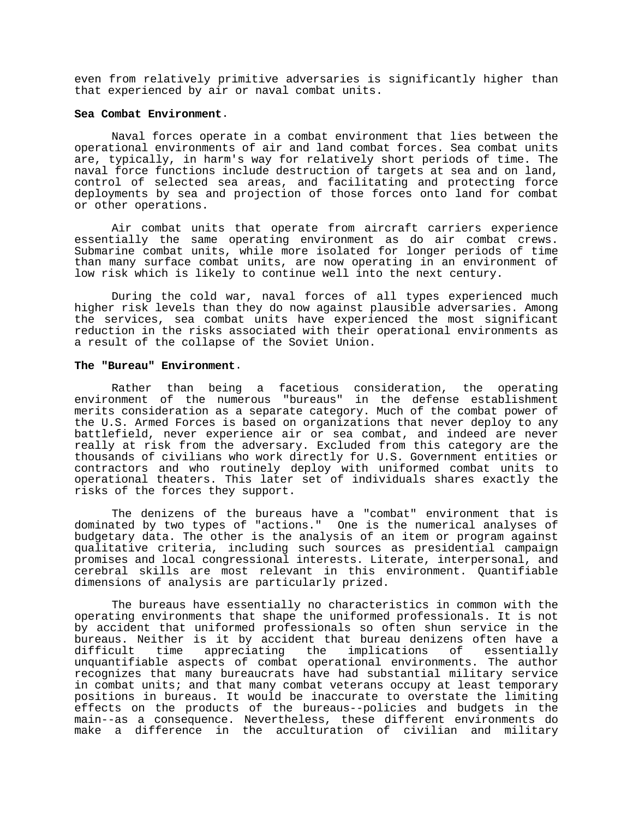even from relatively primitive adversaries is significantly higher than that experienced by air or naval combat units.

#### **Sea Combat Environment**.

Naval forces operate in a combat environment that lies between the operational environments of air and land combat forces. Sea combat units are, typically, in harm's way for relatively short periods of time. The naval force functions include destruction of targets at sea and on land, control of selected sea areas, and facilitating and protecting force deployments by sea and projection of those forces onto land for combat or other operations.

Air combat units that operate from aircraft carriers experience essentially the same operating environment as do air combat crews. Submarine combat units, while more isolated for longer periods of time than many surface combat units, are now operating in an environment of low risk which is likely to continue well into the next century.

During the cold war, naval forces of all types experienced much higher risk levels than they do now against plausible adversaries. Among the services, sea combat units have experienced the most significant reduction in the risks associated with their operational environments as a result of the collapse of the Soviet Union.

# **The "Bureau" Environment**.

Rather than being a facetious consideration, the operating environment of the numerous "bureaus" in the defense establishment merits consideration as a separate category. Much of the combat power of the U.S. Armed Forces is based on organizations that never deploy to any battlefield, never experience air or sea combat, and indeed are never really at risk from the adversary. Excluded from this category are the thousands of civilians who work directly for U.S. Government entities or contractors and who routinely deploy with uniformed combat units to operational theaters. This later set of individuals shares exactly the risks of the forces they support.

The denizens of the bureaus have a "combat" environment that is dominated by two types of "actions." One is the numerical analyses of budgetary data. The other is the analysis of an item or program against qualitative criteria, including such sources as presidential campaign promises and local congressional interests. Literate, interpersonal, and cerebral skills are most relevant in this environment. Quantifiable dimensions of analysis are particularly prized.

The bureaus have essentially no characteristics in common with the operating environments that shape the uniformed professionals. It is not by accident that uniformed professionals so often shun service in the bureaus. Neither is it by accident that bureau denizens often have a difficult time appreciating the implications of essentially unquantifiable aspects of combat operational environments. The author recognizes that many bureaucrats have had substantial military service in combat units; and that many combat veterans occupy at least temporary positions in bureaus. It would be inaccurate to overstate the limiting effects on the products of the bureaus--policies and budgets in the main--as a consequence. Nevertheless, these different environments do make a difference in the acculturation of civilian and military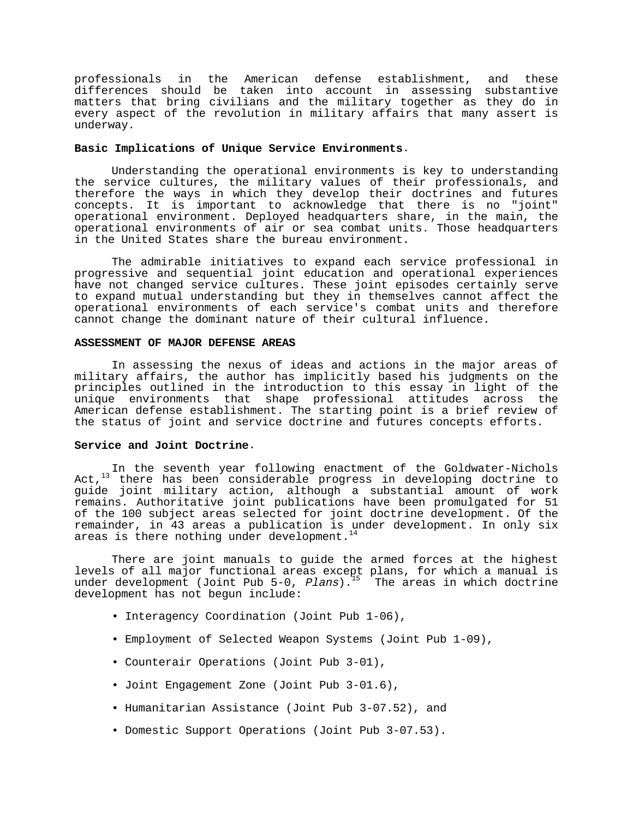professionals in the American defense establishment, and these differences should be taken into account in assessing substantive matters that bring civilians and the military together as they do in every aspect of the revolution in military affairs that many assert is underway.

# **Basic Implications of Unique Service Environments**.

Understanding the operational environments is key to understanding the service cultures, the military values of their professionals, and therefore the ways in which they develop their doctrines and futures concepts. It is important to acknowledge that there is no "joint" operational environment. Deployed headquarters share, in the main, the operational environments of air or sea combat units. Those headquarters in the United States share the bureau environment.

The admirable initiatives to expand each service professional in progressive and sequential joint education and operational experiences have not changed service cultures. These joint episodes certainly serve to expand mutual understanding but they in themselves cannot affect the operational environments of each service's combat units and therefore cannot change the dominant nature of their cultural influence.

# **ASSESSMENT OF MAJOR DEFENSE AREAS**

In assessing the nexus of ideas and actions in the major areas of military affairs, the author has implicitly based his judgments on the principles outlined in the introduction to this essay in light of the unique environments that shape professional attitudes across the American defense establishment. The starting point is a brief review of the status of joint and service doctrine and futures concepts efforts.

# **Service and Joint Doctrine**.

In the seventh year following enactment of the Goldwater-Nichols Act, $13$  there has been considerable progress in developing doctrine to guide joint military action, although a substantial amount of work remains. Authoritative joint publications have been promulgated for 51 of the 100 subject areas selected for joint doctrine development. Of the remainder, in 43 areas a publication is under development. In only six areas is there nothing under development.<sup>1</sup>

There are joint manuals to guide the armed forces at the highest levels of all major functional areas except plans, for which a manual is under development (Joint Pub 5-0, *Plans*).<sup>15</sup> The areas in which doctrine development has not begun include:

- Interagency Coordination (Joint Pub 1-06),
- Employment of Selected Weapon Systems (Joint Pub 1-09),
- Counterair Operations (Joint Pub 3-01),
- Joint Engagement Zone (Joint Pub 3-01.6),
- Humanitarian Assistance (Joint Pub 3-07.52), and
- Domestic Support Operations (Joint Pub 3-07.53).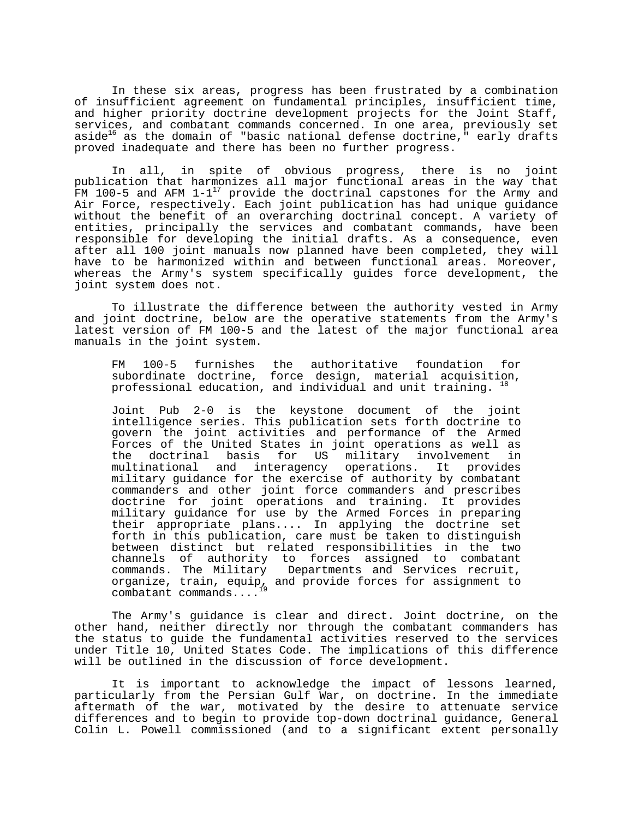In these six areas, progress has been frustrated by a combination of insufficient agreement on fundamental principles, insufficient time, and higher priority doctrine development projects for the Joint Staff, services, and combatant commands concerned. In one area, previously set aside $^{16}$  as the domain of "basic national defense doctrine," early drafts proved inadequate and there has been no further progress.

In all, in spite of obvious progress, there is no joint publication that harmonizes all major functional areas in the way that FM 100-5 and AFM  $1-1^{17}$  provide the doctrinal capstones for the Army and Air Force, respectively. Each joint publication has had unique guidance without the benefit of an overarching doctrinal concept. A variety of entities, principally the services and combatant commands, have been responsible for developing the initial drafts. As a consequence, even after all 100 joint manuals now planned have been completed, they will have to be harmonized within and between functional areas. Moreover, whereas the Army's system specifically guides force development, the joint system does not.

To illustrate the difference between the authority vested in Army and joint doctrine, below are the operative statements from the Army's latest version of FM 100-5 and the latest of the major functional area manuals in the joint system.

FM 100-5 furnishes the authoritative foundation for subordinate doctrine, force design, material acquisition, professional education, and individual and unit training.  $^{18}$ 

Joint Pub 2-0 is the keystone document of the joint intelligence series. This publication sets forth doctrine to govern the joint activities and performance of the Armed Forces of the United States in joint operations as well as the doctrinal basis for US military involvement in multinational and interagency operations. It provides military guidance for the exercise of authority by combatant commanders and other joint force commanders and prescribes doctrine for joint operations and training. It provides military guidance for use by the Armed Forces in preparing their appropriate plans.... In applying the doctrine set forth in this publication, care must be taken to distinguish between distinct but related responsibilities in the two channels of authority to forces assigned to combatant commands. The Military Departments and Services recruit, organize, train, equip, and provide forces for assignment to combatant commands....

The Army's guidance is clear and direct. Joint doctrine, on the other hand, neither directly nor through the combatant commanders has the status to guide the fundamental activities reserved to the services under Title 10, United States Code. The implications of this difference will be outlined in the discussion of force development.

It is important to acknowledge the impact of lessons learned, particularly from the Persian Gulf War, on doctrine. In the immediate aftermath of the war, motivated by the desire to attenuate service differences and to begin to provide top-down doctrinal guidance, General Colin L. Powell commissioned (and to a significant extent personally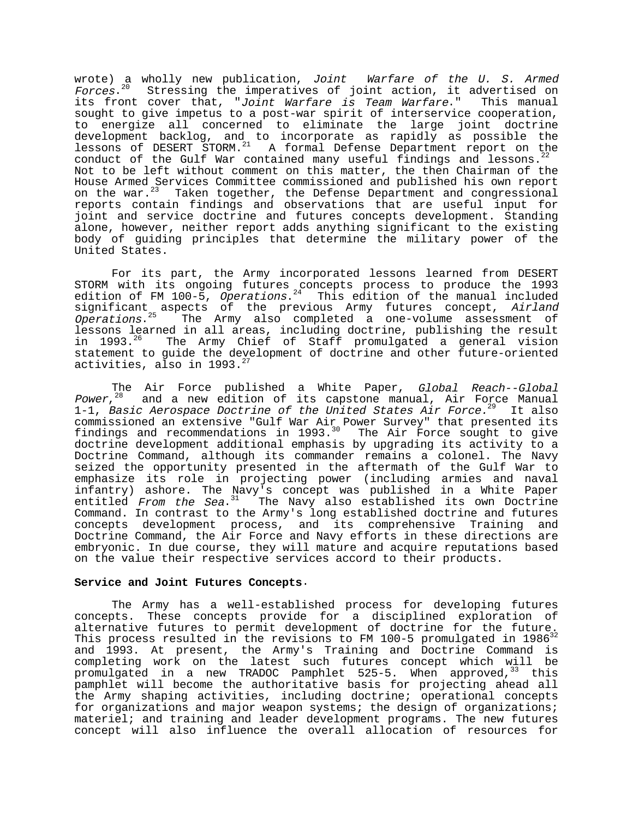wrote) a wholly new publication, Joint Warfare of the U. S. Armed Forces.<sup>20</sup> Stressing the imperatives of joint action, it advertised on its front cover that, "Joint Warfare is Team Warfare." This manual sought to give impetus to a post-war spirit of interservice cooperation, to energize all concerned to eliminate the large joint doctrine development backlog, and to incorporate as rapidly as possible the lessons of DESERT STORM.<sup>21</sup> A formal Defense Department report on the conduct of the Gulf War contained many useful findings and lessons. Not to be left without comment on this matter, the then Chairman of the House Armed Services Committee commissioned and published his own report on the war.<sup>23</sup> Taken together, the Defense Department and congressional reports contain findings and observations that are useful input for joint and service doctrine and futures concepts development. Standing alone, however, neither report adds anything significant to the existing body of guiding principles that determine the military power of the United States.

For its part, the Army incorporated lessons learned from DESERT STORM with its ongoing futures concepts process to produce the 1993 edition of FM 100-5,  $Operations.^{24}$  This edition of the manual included significant aspects of the previous Army futures concept, Airland Operations.<sup>25</sup> The Army also completed a one-volume assessment of lessons learned in all areas, including doctrine, publishing the result in 1993.<sup>26</sup> The Army Chief of Staff promulgated a general vision statement to guide the development of doctrine and other future-oriented activities, also in  $1993.^{27}$ 

The Air Force published a White Paper, *Global Reach--Global* Power,  $28$  and a new edition of its capstone manual, Air Force Manual 1-1, Basic Aerospace Doctrine of the United States Air Force.<sup>29</sup> It also commissioned an extensive "Gulf War Air Power Survey" that presented its findings and recommendations in 1993. $30$  The Air Force sought to give doctrine development additional emphasis by upgrading its activity to a Doctrine Command, although its commander remains a colonel. The Navy seized the opportunity presented in the aftermath of the Gulf War to emphasize its role in projecting power (including armies and naval infantry) ashore. The Navy's concept was published in a White Paper entitled From the Sea.<sup>31</sup> The Navy also established its own Doctrine Command. In contrast to the Army's long established doctrine and futures concepts development process, and its comprehensive Training and Doctrine Command, the Air Force and Navy efforts in these directions are embryonic. In due course, they will mature and acquire reputations based on the value their respective services accord to their products.

### **Service and Joint Futures Concepts**.

The Army has a well-established process for developing futures concepts. These concepts provide for a disciplined exploration of alternative futures to permit development of doctrine for the future. This process resulted in the revisions to FM 100-5 promulgated in 1986 $^{32}$ and 1993. At present, the Army's Training and Doctrine Command is completing work on the latest such futures concept which will be promulgated in a new TRADOC Pamphlet 525-5. When approved,  $33$  this pamphlet will become the authoritative basis for projecting ahead all the Army shaping activities, including doctrine; operational concepts for organizations and major weapon systems; the design of organizations; materiel; and training and leader development programs. The new futures concept will also influence the overall allocation of resources for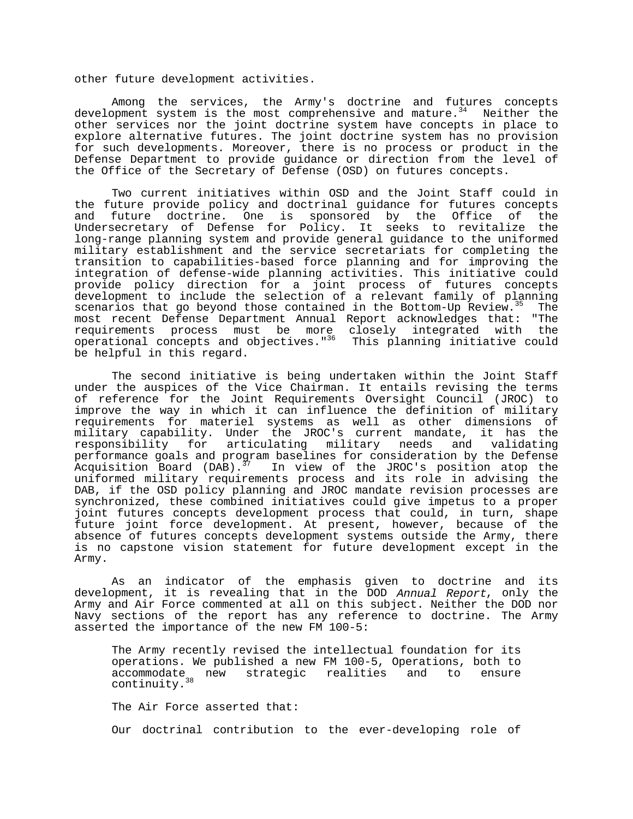other future development activities.

Among the services, the Army's doctrine and futures concepts development system is the most comprehensive and mature. $34$  Neither the other services nor the joint doctrine system have concepts in place to explore alternative futures. The joint doctrine system has no provision for such developments. Moreover, there is no process or product in the Defense Department to provide guidance or direction from the level of the Office of the Secretary of Defense (OSD) on futures concepts.

Two current initiatives within OSD and the Joint Staff could in the future provide policy and doctrinal guidance for futures concepts<br>and future doctrine. One is sponsored by the Office of the and future doctrine. One is sponsored by the Office of Undersecretary of Defense for Policy. It seeks to revitalize the long-range planning system and provide general guidance to the uniformed military establishment and the service secretariats for completing the transition to capabilities-based force planning and for improving the integration of defense-wide planning activities. This initiative could provide policy direction for a joint process of futures concepts development to include the selection of a relevant family of planning scenarios that go beyond those contained in the Bottom-Up Review.<sup>35</sup> The most recent Defense Department Annual Report acknowledges that: "The requirements process must be more closely integrated with the operational concepts and objectives."36 This planning initiative could be helpful in this regard.

The second initiative is being undertaken within the Joint Staff under the auspices of the Vice Chairman. It entails revising the terms of reference for the Joint Requirements Oversight Council (JROC) to improve the way in which it can influence the definition of military requirements for materiel systems as well as other dimensions of military capability. Under the JROC's current mandate, it has the responsibility for articulating military needs and validating performance goals and program baselines for consideration by the Defense<br>Acquisition Board (DAB).<sup>37</sup> In view of the JROC's position atop the In view of the JROC's position atop the uniformed military requirements process and its role in advising the DAB, if the OSD policy planning and JROC mandate revision processes are synchronized, these combined initiatives could give impetus to a proper joint futures concepts development process that could, in turn, shape future joint force development. At present, however, because of the absence of futures concepts development systems outside the Army, there is no capstone vision statement for future development except in the Army.

As an indicator of the emphasis given to doctrine and its development, it is revealing that in the DOD Annual Report, only the Army and Air Force commented at all on this subject. Neither the DOD nor Navy sections of the report has any reference to doctrine. The Army asserted the importance of the new FM 100-5:

The Army recently revised the intellectual foundation for its operations. We published a new FM 100-5, Operations, both to accommodate<sub>s</sub> new strategic realities and to ensure continuity.<sup>38</sup>

The Air Force asserted that:

Our doctrinal contribution to the ever-developing role of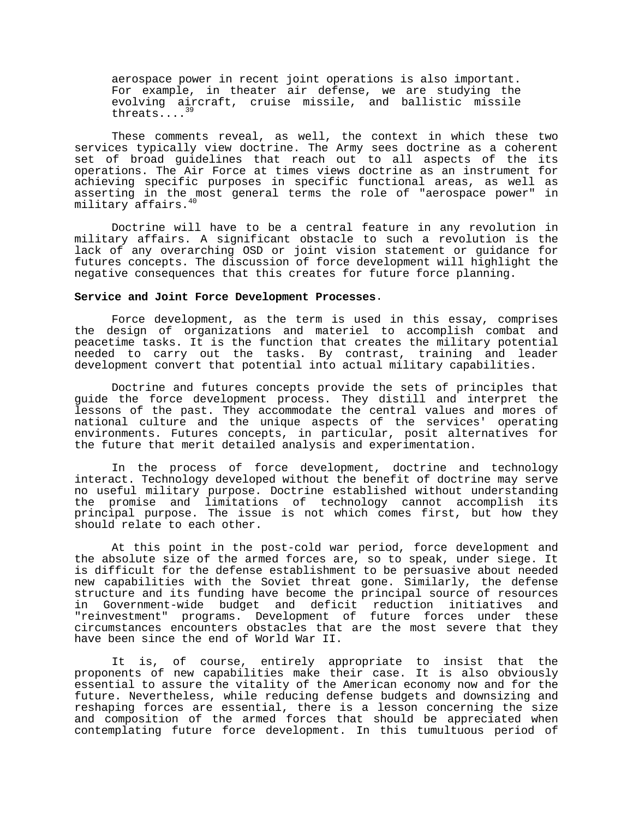aerospace power in recent joint operations is also important. For example, in theater air defense, we are studying the evolving aircraft, cruise missile, and ballistic missile threats....39

These comments reveal, as well, the context in which these two services typically view doctrine. The Army sees doctrine as a coherent set of broad guidelines that reach out to all aspects of the its operations. The Air Force at times views doctrine as an instrument for achieving specific purposes in specific functional areas, as well as asserting in the most general terms the role of "aerospace power" in military affairs.

Doctrine will have to be a central feature in any revolution in military affairs. A significant obstacle to such a revolution is the lack of any overarching OSD or joint vision statement or guidance for futures concepts. The discussion of force development will highlight the negative consequences that this creates for future force planning.

#### **Service and Joint Force Development Processes**.

Force development, as the term is used in this essay, comprises the design of organizations and materiel to accomplish combat and peacetime tasks. It is the function that creates the military potential needed to carry out the tasks. By contrast, training and leader development convert that potential into actual military capabilities.

Doctrine and futures concepts provide the sets of principles that guide the force development process. They distill and interpret the lessons of the past. They accommodate the central values and mores of national culture and the unique aspects of the services' operating environments. Futures concepts, in particular, posit alternatives for the future that merit detailed analysis and experimentation.

In the process of force development, doctrine and technology interact. Technology developed without the benefit of doctrine may serve no useful military purpose. Doctrine established without understanding the promise and limitations of technology cannot accomplish its principal purpose. The issue is not which comes first, but how they should relate to each other.

At this point in the post-cold war period, force development and the absolute size of the armed forces are, so to speak, under siege. It is difficult for the defense establishment to be persuasive about needed new capabilities with the Soviet threat gone. Similarly, the defense structure and its funding have become the principal source of resources in Government-wide budget and deficit reduction initiatives and "reinvestment" programs. Development of future forces under these circumstances encounters obstacles that are the most severe that they have been since the end of World War II.

It is, of course, entirely appropriate to insist that the proponents of new capabilities make their case. It is also obviously essential to assure the vitality of the American economy now and for the future. Nevertheless, while reducing defense budgets and downsizing and reshaping forces are essential, there is a lesson concerning the size and composition of the armed forces that should be appreciated when contemplating future force development. In this tumultuous period of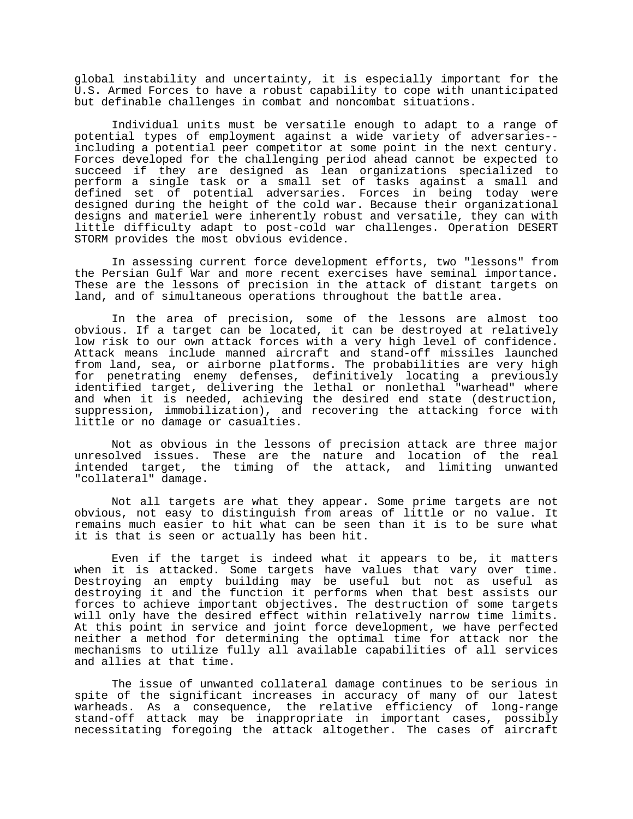global instability and uncertainty, it is especially important for the U.S. Armed Forces to have a robust capability to cope with unanticipated but definable challenges in combat and noncombat situations.

Individual units must be versatile enough to adapt to a range of potential types of employment against a wide variety of adversaries- including a potential peer competitor at some point in the next century. Forces developed for the challenging period ahead cannot be expected to succeed if they are designed as lean organizations specialized to perform a single task or a small set of tasks against a small and defined set of potential adversaries. Forces in being today were designed during the height of the cold war. Because their organizational designs and materiel were inherently robust and versatile, they can with little difficulty adapt to post-cold war challenges. Operation DESERT STORM provides the most obvious evidence.

In assessing current force development efforts, two "lessons" from the Persian Gulf War and more recent exercises have seminal importance. These are the lessons of precision in the attack of distant targets on land, and of simultaneous operations throughout the battle area.

In the area of precision, some of the lessons are almost too obvious. If a target can be located, it can be destroyed at relatively low risk to our own attack forces with a very high level of confidence. Attack means include manned aircraft and stand-off missiles launched from land, sea, or airborne platforms. The probabilities are very high for penetrating enemy defenses, definitively locating a previously identified target, delivering the lethal or nonlethal "warhead" where and when it is needed, achieving the desired end state (destruction, suppression, immobilization), and recovering the attacking force with little or no damage or casualties.

Not as obvious in the lessons of precision attack are three major unresolved issues. These are the nature and location of the real intended target, the timing of the attack, and limiting unwanted "collateral" damage.

Not all targets are what they appear. Some prime targets are not obvious, not easy to distinguish from areas of little or no value. It remains much easier to hit what can be seen than it is to be sure what it is that is seen or actually has been hit.

Even if the target is indeed what it appears to be, it matters when it is attacked. Some targets have values that vary over time. Destroying an empty building may be useful but not as useful as destroying it and the function it performs when that best assists our forces to achieve important objectives. The destruction of some targets will only have the desired effect within relatively narrow time limits. At this point in service and joint force development, we have perfected neither a method for determining the optimal time for attack nor the mechanisms to utilize fully all available capabilities of all services and allies at that time.

The issue of unwanted collateral damage continues to be serious in spite of the significant increases in accuracy of many of our latest warheads. As a consequence, the relative efficiency of long-range stand-off attack may be inappropriate in important cases, possibly necessitating foregoing the attack altogether. The cases of aircraft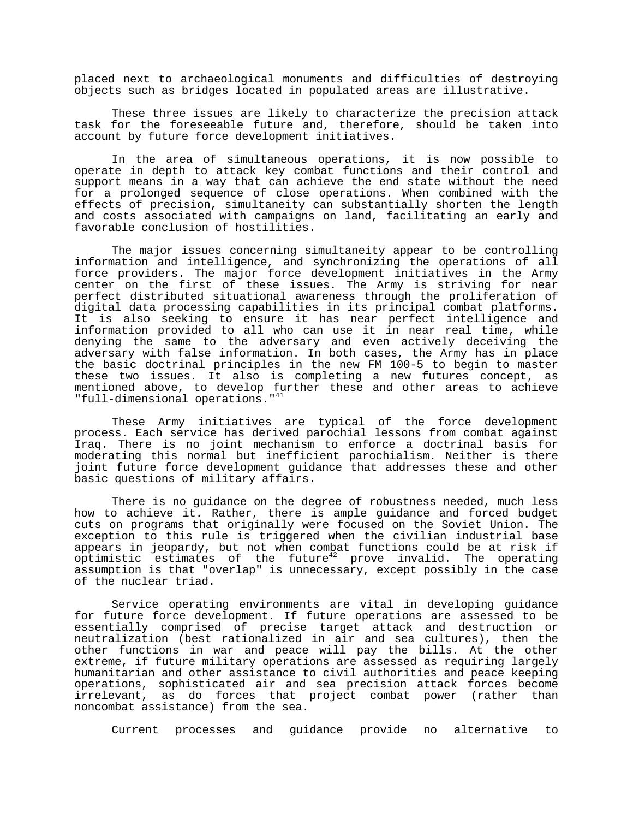placed next to archaeological monuments and difficulties of destroying objects such as bridges located in populated areas are illustrative.

These three issues are likely to characterize the precision attack task for the foreseeable future and, therefore, should be taken into account by future force development initiatives.

In the area of simultaneous operations, it is now possible to operate in depth to attack key combat functions and their control and support means in a way that can achieve the end state without the need for a prolonged sequence of close operations. When combined with the effects of precision, simultaneity can substantially shorten the length and costs associated with campaigns on land, facilitating an early and favorable conclusion of hostilities.

The major issues concerning simultaneity appear to be controlling information and intelligence, and synchronizing the operations of all force providers. The major force development initiatives in the Army center on the first of these issues. The Army is striving for near perfect distributed situational awareness through the proliferation of digital data processing capabilities in its principal combat platforms. It is also seeking to ensure it has near perfect intelligence and information provided to all who can use it in near real time, while denying the same to the adversary and even actively deceiving the adversary with false information. In both cases, the Army has in place the basic doctrinal principles in the new FM 100-5 to begin to master these two issues. It also is completing a new futures concept, as mentioned above, to develop further these and other areas to achieve "full-dimensional operations."41

These Army initiatives are typical of the force development process. Each service has derived parochial lessons from combat against Iraq. There is no joint mechanism to enforce a doctrinal basis for moderating this normal but inefficient parochialism. Neither is there joint future force development guidance that addresses these and other basic questions of military affairs.

There is no guidance on the degree of robustness needed, much less how to achieve it. Rather, there is ample guidance and forced budget cuts on programs that originally were focused on the Soviet Union. The exception to this rule is triggered when the civilian industrial base appears in jeopardy, but not when combat functions could be at risk if optimistic estimates of the future $42$  prove invalid. The operating assumption is that "overlap" is unnecessary, except possibly in the case of the nuclear triad.

Service operating environments are vital in developing guidance for future force development. If future operations are assessed to be essentially comprised of precise target attack and destruction or neutralization (best rationalized in air and sea cultures), then the other functions in war and peace will pay the bills. At the other extreme, if future military operations are assessed as requiring largely humanitarian and other assistance to civil authorities and peace keeping operations, sophisticated air and sea precision attack forces become irrelevant, as do forces that project combat power (rather than noncombat assistance) from the sea.

Current processes and guidance provide no alternative to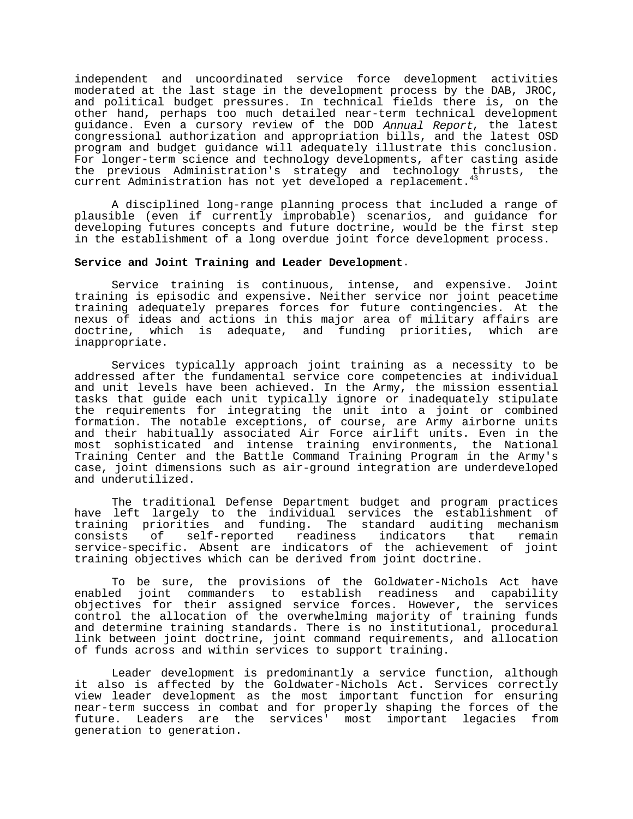independent and uncoordinated service force development activities moderated at the last stage in the development process by the DAB, JROC, and political budget pressures. In technical fields there is, on the other hand, perhaps too much detailed near-term technical development guidance. Even a cursory review of the DOD Annual Report, the latest congressional authorization and appropriation bills, and the latest OSD program and budget guidance will adequately illustrate this conclusion. For longer-term science and technology developments, after casting aside the previous Administration's strategy and technology thrusts, the current Administration has not yet developed a replacement.<sup>43</sup>

A disciplined long-range planning process that included a range of plausible (even if currently improbable) scenarios, and guidance for developing futures concepts and future doctrine, would be the first step in the establishment of a long overdue joint force development process.

# **Service and Joint Training and Leader Development**.

Service training is continuous, intense, and expensive. Joint training is episodic and expensive. Neither service nor joint peacetime training adequately prepares forces for future contingencies. At the nexus of ideas and actions in this major area of military affairs are doctrine, which is adequate, and funding priorities, which are inappropriate.

Services typically approach joint training as a necessity to be addressed after the fundamental service core competencies at individual and unit levels have been achieved. In the Army, the mission essential tasks that guide each unit typically ignore or inadequately stipulate the requirements for integrating the unit into a joint or combined formation. The notable exceptions, of course, are Army airborne units and their habitually associated Air Force airlift units. Even in the most sophisticated and intense training environments, the National Training Center and the Battle Command Training Program in the Army's case, joint dimensions such as air-ground integration are underdeveloped and underutilized.

The traditional Defense Department budget and program practices have left largely to the individual services the establishment of training priorities and funding. The standard auditing mechanism consists of self-reported readiness indicators that remain service-specific. Absent are indicators of the achievement of joint training objectives which can be derived from joint doctrine.

To be sure, the provisions of the Goldwater-Nichols Act have enabled joint commanders to establish readiness and capability objectives for their assigned service forces. However, the services control the allocation of the overwhelming majority of training funds and determine training standards. There is no institutional, procedural link between joint doctrine, joint command requirements, and allocation of funds across and within services to support training.

Leader development is predominantly a service function, although it also is affected by the Goldwater-Nichols Act. Services correctly view leader development as the most important function for ensuring near-term success in combat and for properly shaping the forces of the future. Leaders are the services' most important legacies from generation to generation.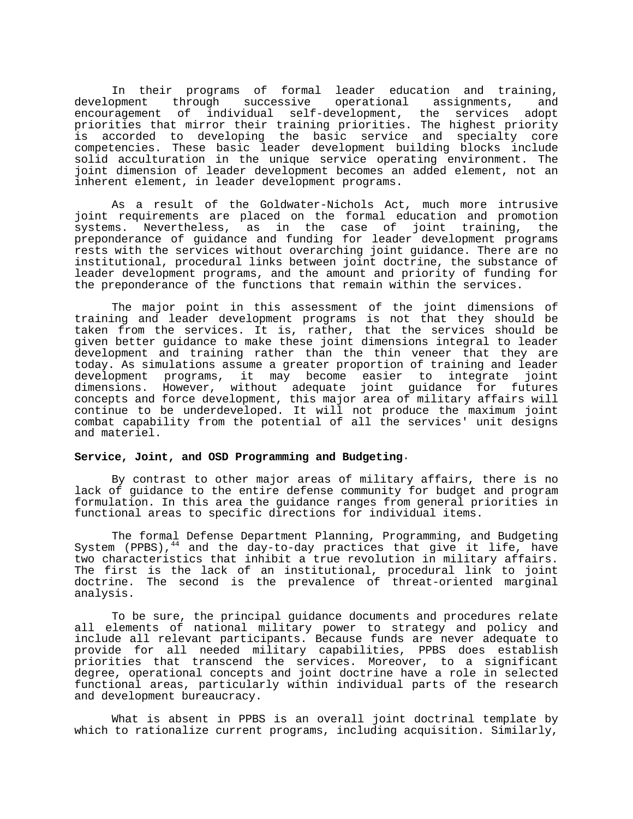In their programs of formal leader education and training,<br>development through successive operational assignments, and through successive operational assignments, and encouragement of individual self-development, the services adopt priorities that mirror their training priorities. The highest priority is accorded to developing the basic service and specialty core competencies. These basic leader development building blocks include solid acculturation in the unique service operating environment. The joint dimension of leader development becomes an added element, not an inherent element, in leader development programs.

As a result of the Goldwater-Nichols Act, much more intrusive joint requirements are placed on the formal education and promotion systems. Nevertheless, as in the case of joint training, the preponderance of guidance and funding for leader development programs rests with the services without overarching joint guidance. There are no institutional, procedural links between joint doctrine, the substance of leader development programs, and the amount and priority of funding for the preponderance of the functions that remain within the services.

The major point in this assessment of the joint dimensions of training and leader development programs is not that they should be taken from the services. It is, rather, that the services should be given better guidance to make these joint dimensions integral to leader development and training rather than the thin veneer that they are today. As simulations assume a greater proportion of training and leader development programs, it may become easier to integrate joint dimensions. However, without adequate joint guidance for futures concepts and force development, this major area of military affairs will continue to be underdeveloped. It will not produce the maximum joint combat capability from the potential of all the services' unit designs and materiel.

## **Service, Joint, and OSD Programming and Budgeting**.

By contrast to other major areas of military affairs, there is no lack of guidance to the entire defense community for budget and program formulation. In this area the guidance ranges from general priorities in functional areas to specific directions for individual items.

The formal Defense Department Planning, Programming, and Budgeting System (PPBS),  $^{44}$  and the day-to-day practices that give it life, have two characteristics that inhibit a true revolution in military affairs. The first is the lack of an institutional, procedural link to joint doctrine. The second is the prevalence of threat-oriented marginal analysis.

To be sure, the principal guidance documents and procedures relate all elements of national military power to strategy and policy and include all relevant participants. Because funds are never adequate to provide for all needed military capabilities, PPBS does establish priorities that transcend the services. Moreover, to a significant degree, operational concepts and joint doctrine have a role in selected functional areas, particularly within individual parts of the research and development bureaucracy.

What is absent in PPBS is an overall joint doctrinal template by which to rationalize current programs, including acquisition. Similarly,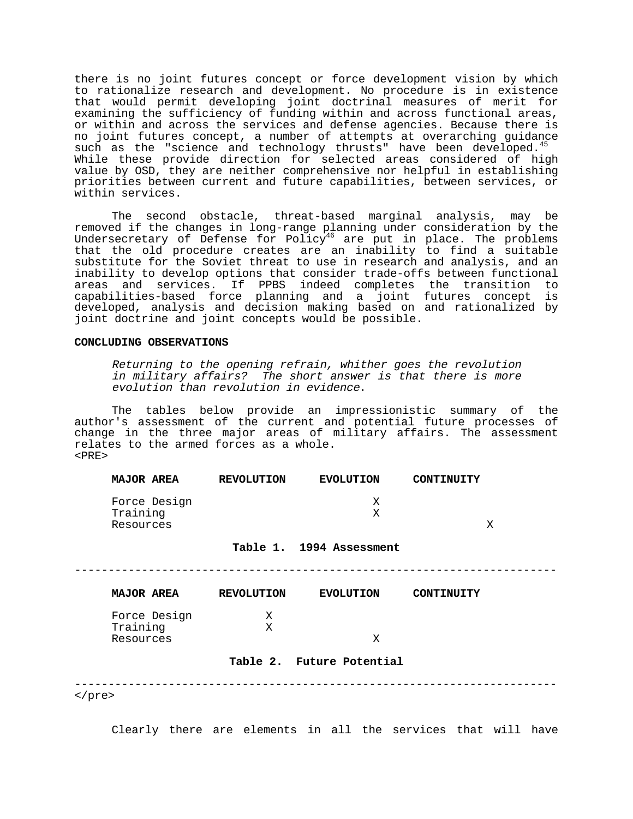there is no joint futures concept or force development vision by which to rationalize research and development. No procedure is in existence that would permit developing joint doctrinal measures of merit for examining the sufficiency of funding within and across functional areas, or within and across the services and defense agencies. Because there is no joint futures concept, a number of attempts at overarching guidance such as the "science and technology thrusts" have been developed.<sup>45</sup> While these provide direction for selected areas considered of high value by OSD, they are neither comprehensive nor helpful in establishing priorities between current and future capabilities, between services, or within services.

The second obstacle, threat-based marginal analysis, may be removed if the changes in long-range planning under consideration by the Undersecretary of Defense for Policy<sup>46</sup> are put in place. The problems that the old procedure creates are an inability to find a suitable substitute for the Soviet threat to use in research and analysis, and an inability to develop options that consider trade-offs between functional areas and services. If PPBS indeed completes the transition to capabilities-based force planning and a joint futures concept is developed, analysis and decision making based on and rationalized by joint doctrine and joint concepts would be possible.

### **CONCLUDING OBSERVATIONS**

Returning to the opening refrain, whither goes the revolution in military affairs? The short answer is that there is more evolution than revolution in evidence.

The tables below provide an impressionistic summary of the author's assessment of the current and potential future processes of change in the three major areas of military affairs. The assessment relates to the armed forces as a whole.  $**PRE**$ 

| <b>MAJOR AREA</b> |              | <b>REVOLUTION</b> | <b>EVOLUTION</b> | CONTINUITY |  |
|-------------------|--------------|-------------------|------------------|------------|--|
| Training          | Force Design |                   |                  |            |  |
| Resources         |              |                   |                  |            |  |

## **Table 1. 1994 Assessment**

------------------------------------------------------------------------

| <b>MAJOR AREA</b> | <b>REVOLUTION</b> | <b>EVOLUTION</b> | CONTINUITY |
|-------------------|-------------------|------------------|------------|
| Force Design      | Χ                 |                  |            |
| Training          | Х                 |                  |            |
| Resources         |                   | X                |            |

### **Table 2. Future Potential**

------------------------------------------------------------------------

</pre>

Clearly there are elements in all the services that will have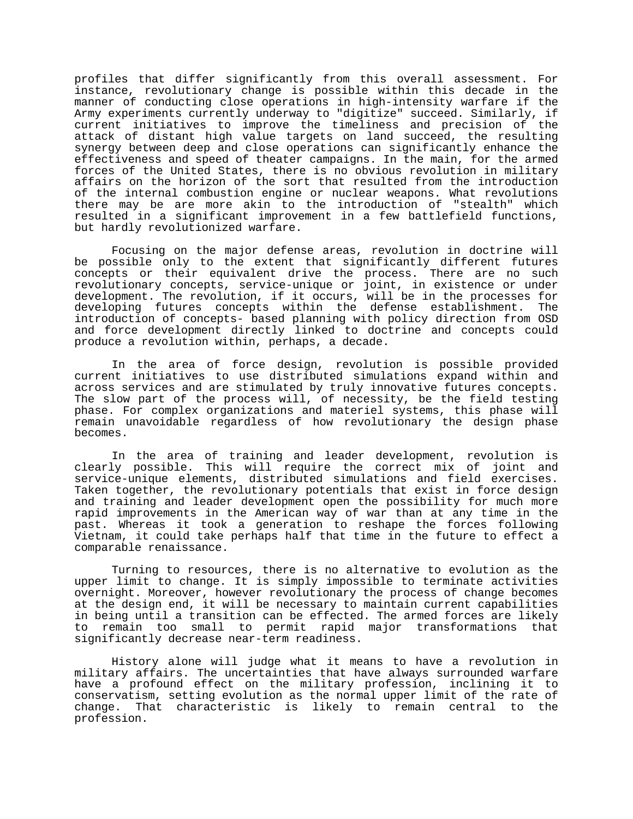profiles that differ significantly from this overall assessment. For instance, revolutionary change is possible within this decade in the manner of conducting close operations in high-intensity warfare if the Army experiments currently underway to "digitize" succeed. Similarly, if current initiatives to improve the timeliness and precision of the attack of distant high value targets on land succeed, the resulting synergy between deep and close operations can significantly enhance the effectiveness and speed of theater campaigns. In the main, for the armed forces of the United States, there is no obvious revolution in military affairs on the horizon of the sort that resulted from the introduction of the internal combustion engine or nuclear weapons. What revolutions there may be are more akin to the introduction of "stealth" which resulted in a significant improvement in a few battlefield functions, but hardly revolutionized warfare.

Focusing on the major defense areas, revolution in doctrine will be possible only to the extent that significantly different futures concepts or their equivalent drive the process. There are no such revolutionary concepts, service-unique or joint, in existence or under development. The revolution, if it occurs, will be in the processes for developing futures concepts within the defense establishment. The introduction of concepts- based planning with policy direction from OSD and force development directly linked to doctrine and concepts could produce a revolution within, perhaps, a decade.

In the area of force design, revolution is possible provided current initiatives to use distributed simulations expand within and across services and are stimulated by truly innovative futures concepts. The slow part of the process will, of necessity, be the field testing phase. For complex organizations and materiel systems, this phase will remain unavoidable regardless of how revolutionary the design phase becomes.

In the area of training and leader development, revolution is clearly possible. This will require the correct mix of joint and service-unique elements, distributed simulations and field exercises. Taken together, the revolutionary potentials that exist in force design and training and leader development open the possibility for much more rapid improvements in the American way of war than at any time in the past. Whereas it took a generation to reshape the forces following Vietnam, it could take perhaps half that time in the future to effect a comparable renaissance.

Turning to resources, there is no alternative to evolution as the upper limit to change. It is simply impossible to terminate activities overnight. Moreover, however revolutionary the process of change becomes at the design end, it will be necessary to maintain current capabilities in being until a transition can be effected. The armed forces are likely to remain too small to permit rapid major transformations that significantly decrease near-term readiness.

History alone will judge what it means to have a revolution in military affairs. The uncertainties that have always surrounded warfare have a profound effect on the military profession, inclining it to conservatism, setting evolution as the normal upper limit of the rate of change. That characteristic is likely to remain central to the profession.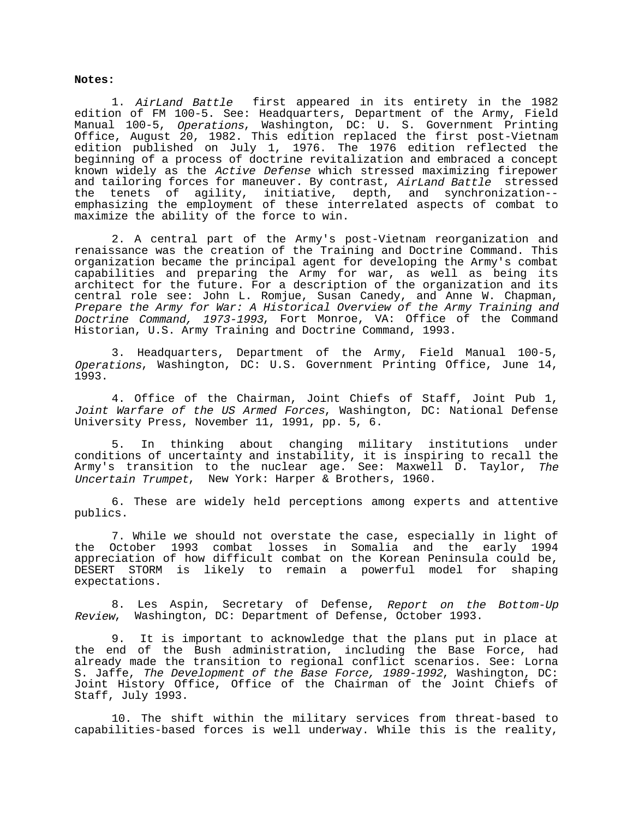### **Notes:**

1. AirLand Battle first appeared in its entirety in the 1982 edition of FM 100-5. See: Headquarters, Department of the Army, Field Manual 100-5, *Operations*, Washington, DC: U. S. Government Printing Office, August 20, 1982. This edition replaced the first post-Vietnam edition published on July 1, 1976. The 1976 edition reflected the beginning of a process of doctrine revitalization and embraced a concept known widely as the Active Defense which stressed maximizing firepower and tailoring forces for maneuver. By contrast, AirLand Battle stressed the tenets of agility, initiative, depth, and synchronization- emphasizing the employment of these interrelated aspects of combat to maximize the ability of the force to win.

2. A central part of the Army's post-Vietnam reorganization and renaissance was the creation of the Training and Doctrine Command. This organization became the principal agent for developing the Army's combat capabilities and preparing the Army for war, as well as being its architect for the future. For a description of the organization and its central role see: John L. Romjue, Susan Canedy, and Anne W. Chapman, Prepare the Army for War: A Historical Overview of the Army Training and Doctrine Command, 1973-1993, Fort Monroe, VA: Office of the Command Historian, U.S. Army Training and Doctrine Command, 1993.

3. Headquarters, Department of the Army, Field Manual 100-5, Operations, Washington, DC: U.S. Government Printing Office, June 14, 1993.

4. Office of the Chairman, Joint Chiefs of Staff, Joint Pub 1, Joint Warfare of the US Armed Forces, Washington, DC: National Defense University Press, November 11, 1991, pp. 5, 6.

5. In thinking about changing military institutions under conditions of uncertainty and instability, it is inspiring to recall the Army's transition to the nuclear age. See: Maxwell D. Taylor, The Uncertain Trumpet, New York: Harper & Brothers, 1960.

6. These are widely held perceptions among experts and attentive publics.

7. While we should not overstate the case, especially in light of the October 1993 combat losses in Somalia and the early 1994 appreciation of how difficult combat on the Korean Peninsula could be, DESERT STORM is likely to remain a powerful model for shaping expectations.

8. Les Aspin, Secretary of Defense, Report on the Bottom-Up Review, Washington, DC: Department of Defense, October 1993.

9. It is important to acknowledge that the plans put in place at the end of the Bush administration, including the Base Force, had already made the transition to regional conflict scenarios. See: Lorna S. Jaffe, The Development of the Base Force, 1989-1992, Washington, DC: Joint History Office, Office of the Chairman of the Joint Chiefs of Staff, July 1993.

10. The shift within the military services from threat-based to capabilities-based forces is well underway. While this is the reality,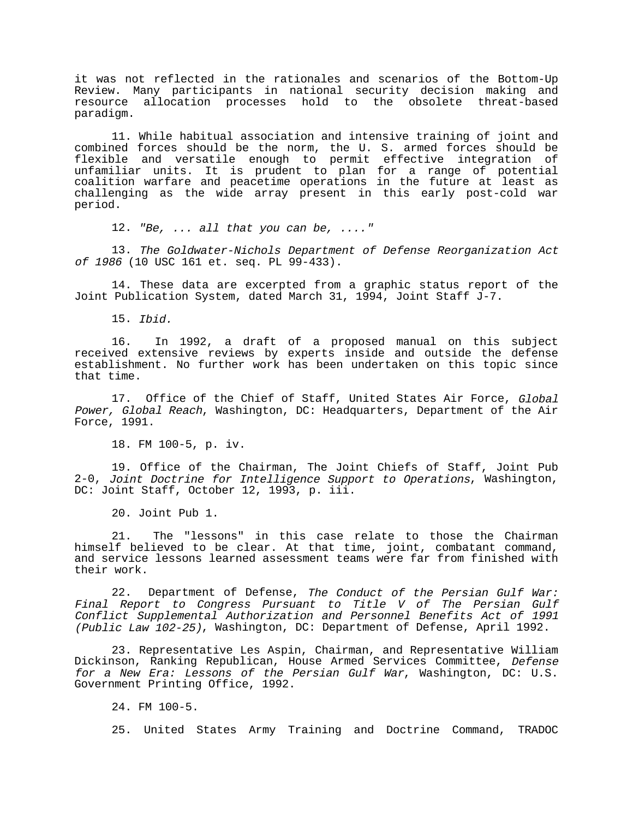it was not reflected in the rationales and scenarios of the Bottom-Up Review. Many participants in national security decision making and resource allocation processes hold to the obsolete threat-based paradigm.

11. While habitual association and intensive training of joint and combined forces should be the norm, the U. S. armed forces should be flexible and versatile enough to permit effective integration of unfamiliar units. It is prudent to plan for a range of potential coalition warfare and peacetime operations in the future at least as challenging as the wide array present in this early post-cold war period.

12. "Be, ... all that you can be, ...."

13. The Goldwater-Nichols Department of Defense Reorganization Act of 1986 (10 USC 161 et. seq. PL 99-433).

14. These data are excerpted from a graphic status report of the Joint Publication System, dated March 31, 1994, Joint Staff J-7.

15. Ibid.

16. In 1992, a draft of a proposed manual on this subject received extensive reviews by experts inside and outside the defense establishment. No further work has been undertaken on this topic since that time.

17. Office of the Chief of Staff, United States Air Force, Global Power, Global Reach, Washington, DC: Headquarters, Department of the Air Force, 1991.

18. FM 100-5, p. iv.

19. Office of the Chairman, The Joint Chiefs of Staff, Joint Pub 2-0, Joint Doctrine for Intelligence Support to Operations, Washington, DC: Joint Staff, October 12, 1993, p. iii.

20. Joint Pub 1.

21. The "lessons" in this case relate to those the Chairman himself believed to be clear. At that time, joint, combatant command, and service lessons learned assessment teams were far from finished with their work.

22. Department of Defense, The Conduct of the Persian Gulf War: Final Report to Congress Pursuant to Title V of The Persian Gulf Conflict Supplemental Authorization and Personnel Benefits Act of 1991 (Public Law 102-25), Washington, DC: Department of Defense, April 1992.

23. Representative Les Aspin, Chairman, and Representative William Dickinson, Ranking Republican, House Armed Services Committee, Defense for a New Era: Lessons of the Persian Gulf War, Washington, DC: U.S. Government Printing Office, 1992.

24. FM 100-5.

25. United States Army Training and Doctrine Command, TRADOC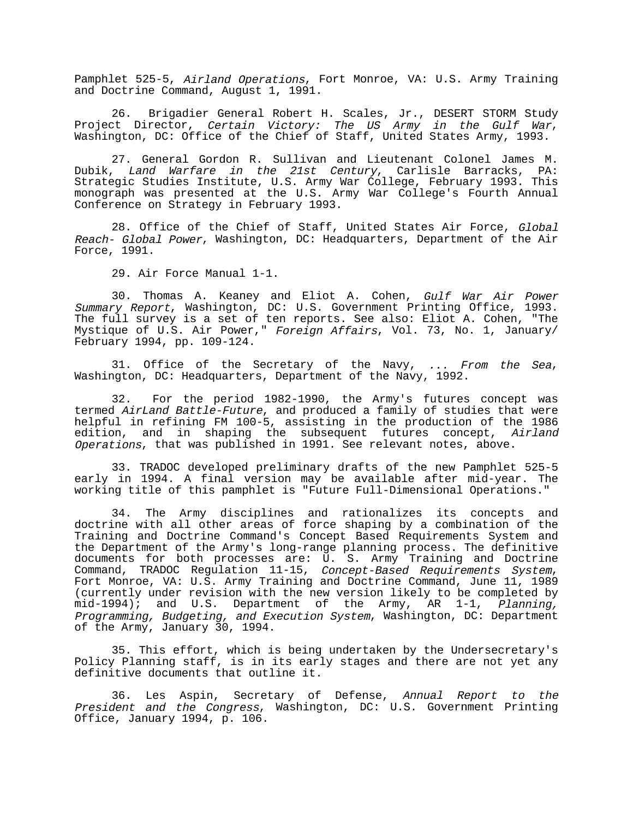Pamphlet 525-5, Airland Operations, Fort Monroe, VA: U.S. Army Training and Doctrine Command, August 1, 1991.

26. Brigadier General Robert H. Scales, Jr., DESERT STORM Study Project Director, Certain Victory: The US Army in the Gulf War, Washington, DC: Office of the Chief of Staff, United States Army, 1993.

27. General Gordon R. Sullivan and Lieutenant Colonel James M. Dubik, Land Warfare in the 21st Century, Carlisle Barracks, PA: Strategic Studies Institute, U.S. Army War College, February 1993. This monograph was presented at the U.S. Army War College's Fourth Annual Conference on Strategy in February 1993.

28. Office of the Chief of Staff, United States Air Force, Global Reach- Global Power, Washington, DC: Headquarters, Department of the Air Force, 1991.

29. Air Force Manual 1-1.

30. Thomas A. Keaney and Eliot A. Cohen, Gulf War Air Power Summary Report, Washington, DC: U.S. Government Printing Office, 1993. The full survey is a set of ten reports. See also: Eliot A. Cohen, "The Mystique of U.S. Air Power," Foreign Affairs, Vol. 73, No. 1, January/ February 1994, pp. 109-124.

31. Office of the Secretary of the Navy, ... From the Sea, Washington, DC: Headquarters, Department of the Navy, 1992.

32. For the period 1982-1990, the Army's futures concept was termed AirLand Battle-Future, and produced a family of studies that were helpful in refining FM 100-5, assisting in the production of the 1986 edition, and in shaping the subsequent futures concept, Airland Operations, that was published in 1991. See relevant notes, above.

33. TRADOC developed preliminary drafts of the new Pamphlet 525-5 early in 1994. A final version may be available after mid-year. The working title of this pamphlet is "Future Full-Dimensional Operations."

34. The Army disciplines and rationalizes its concepts and doctrine with all other areas of force shaping by a combination of the Training and Doctrine Command's Concept Based Requirements System and the Department of the Army's long-range planning process. The definitive documents for both processes are: U. S. Army Training and Doctrine Command, TRADOC Regulation 11-15, Concept-Based Requirements System, Fort Monroe, VA: U.S. Army Training and Doctrine Command, June 11, 1989 (currently under revision with the new version likely to be completed by  $mid-1994$ ; and U.S. Department of the Army, AR 1-1, Planning, Programming, Budgeting, and Execution System, Washington, DC: Department of the Army, January 30, 1994.

35. This effort, which is being undertaken by the Undersecretary's Policy Planning staff, is in its early stages and there are not yet any definitive documents that outline it.

36. Les Aspin, Secretary of Defense, Annual Report to the President and the Congress, Washington, DC: U.S. Government Printing Office, January 1994, p. 106.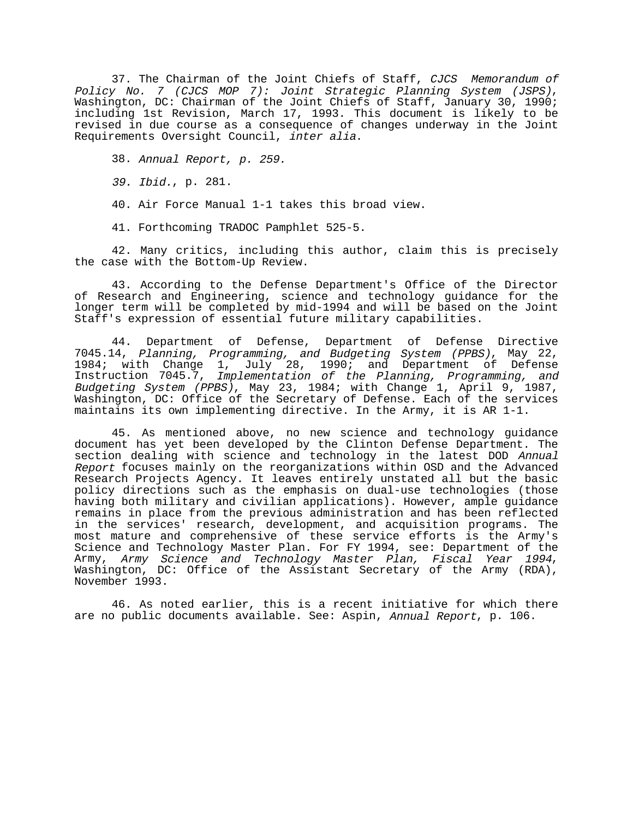37. The Chairman of the Joint Chiefs of Staff, CJCS Memorandum of Policy No. 7 (CJCS MOP 7): Joint Strategic Planning System (JSPS), Washington, DC: Chairman of the Joint Chiefs of Staff, January 30, 1990; including 1st Revision, March 17, 1993. This document is likely to be revised in due course as a consequence of changes underway in the Joint Requirements Oversight Council, inter alia.

38. Annual Report, p. 259.

39. Ibid., p. 281.

40. Air Force Manual 1-1 takes this broad view.

41. Forthcoming TRADOC Pamphlet 525-5.

42. Many critics, including this author, claim this is precisely the case with the Bottom-Up Review.

43. According to the Defense Department's Office of the Director of Research and Engineering, science and technology guidance for the longer term will be completed by mid-1994 and will be based on the Joint Staff's expression of essential future military capabilities.

44. Department of Defense, Department of Defense Directive 7045.14, Planning, Programming, and Budgeting System (PPBS), May 22, 1984; with Change 1, July 28, 1990; and Department of Defense Instruction 7045.7, Implementation of the Planning, Programming, and Budgeting System (PPBS), May 23, 1984; with Change 1, April 9, 1987, Washington, DC: Office of the Secretary of Defense. Each of the services maintains its own implementing directive. In the Army, it is AR 1-1.

45. As mentioned above, no new science and technology guidance document has yet been developed by the Clinton Defense Department. The section dealing with science and technology in the latest DOD Annual Report focuses mainly on the reorganizations within OSD and the Advanced Research Projects Agency. It leaves entirely unstated all but the basic policy directions such as the emphasis on dual-use technologies (those having both military and civilian applications). However, ample guidance remains in place from the previous administration and has been reflected in the services' research, development, and acquisition programs. The most mature and comprehensive of these service efforts is the Army's Science and Technology Master Plan. For FY 1994, see: Department of the Army, Army Science and Technology Master Plan, Fiscal Year 1994, Washington, DC: Office of the Assistant Secretary of the Army (RDA), November 1993.

46. As noted earlier, this is a recent initiative for which there are no public documents available. See: Aspin, Annual Report, p. 106.